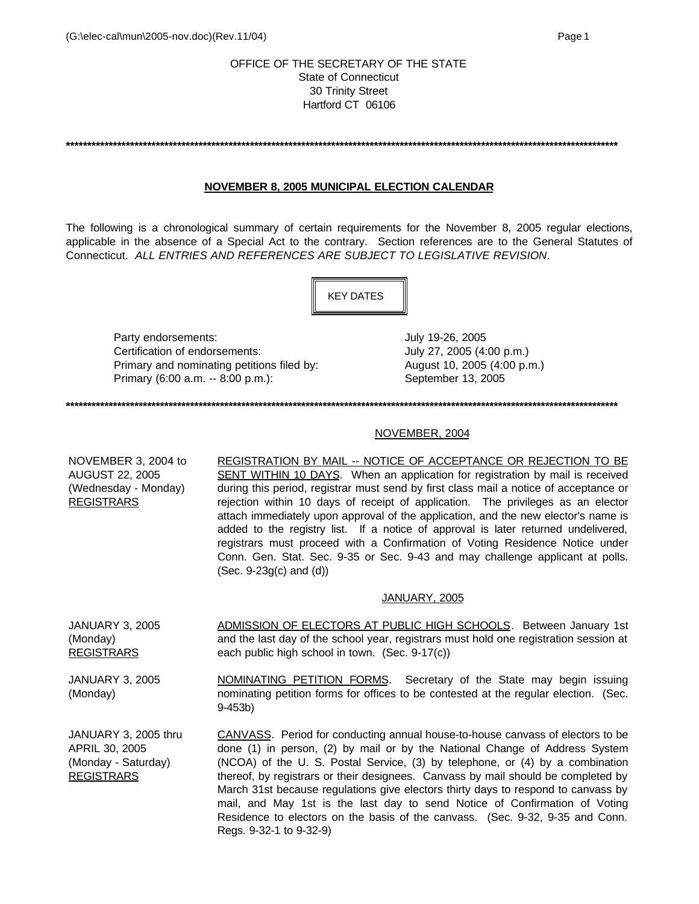# OFFICE OF THE SECRETARY OF THE STATE State of Connecticut 30 Trinity Street Hartford CT 06106

**\*\*\*\*\*\*\*\*\*\*\*\*\*\*\*\*\*\*\*\*\*\*\*\*\*\*\*\*\*\*\*\*\*\*\*\*\*\*\*\*\*\*\*\*\*\*\*\*\*\*\*\*\*\*\*\*\*\*\*\*\*\*\*\*\*\*\*\*\*\*\*\*\*\*\*\*\*\*\*\*\*\*\*\*\*\*\*\*\*\*\*\*\*\*\*\*\*\*\*\*\*\*\*\*\*\*\*\*\*\*\*\*\*\*\*\*\*\*\*\*\*\*\*\*\*\*\*\*\***

# **NOVEMBER 8, 2005 MUNICIPAL ELECTION CALENDAR**

The following is a chronological summary of certain requirements for the November 8, 2005 regular elections, applicable in the absence of a Special Act to the contrary. Section references are to the General Statutes of Connecticut. *ALL ENTRIES AND REFERENCES ARE SUBJECT TO LEGISLATIVE REVISION*.



Party endorsements:  $July 19-26, 2005$ Certification of endorsements: July 27, 2005 (4:00 p.m.) Primary and nominating petitions filed by: <br>August 10, 2005 (4:00 p.m.) Primary (6:00 a.m. -- 8:00 p.m.): September 13, 2005

**\*\*\*\*\*\*\*\*\*\*\*\*\*\*\*\*\*\*\*\*\*\*\*\*\*\*\*\*\*\*\*\*\*\*\*\*\*\*\*\*\*\*\*\*\*\*\*\*\*\*\*\*\*\*\*\*\*\*\*\*\*\*\*\*\*\*\*\*\*\*\*\*\*\*\*\*\*\*\*\*\*\*\*\*\*\*\*\*\*\*\*\*\*\*\*\*\*\*\*\*\*\*\*\*\*\*\*\*\*\*\*\*\*\*\*\*\*\*\*\*\*\*\*\*\*\*\*\*\***

### NOVEMBER, 2004

NOVEMBER 3, 2004 to AUGUST 22, 2005 (Wednesday - Monday) REGISTRARS REGISTRATION BY MAIL -- NOTICE OF ACCEPTANCE OR REJECTION TO BE SENT WITHIN 10 DAYS. When an application for registration by mail is received during this period, registrar must send by first class mail a notice of acceptance or rejection within 10 days of receipt of application. The privileges as an elector attach immediately upon approval of the application, and the new elector's name is added to the registry list. If a notice of approval is later returned undelivered, registrars must proceed with a Confirmation of Voting Residence Notice under Conn. Gen. Stat. Sec. 9-35 or Sec. 9-43 and may challenge applicant at polls. (Sec. 9-23g(c) and (d))

### JANUARY, 2005

JANUARY 3, 2005 (Monday) **REGISTRARS** ADMISSION OF ELECTORS AT PUBLIC HIGH SCHOOLS. Between January 1st and the last day of the school year, registrars must hold one registration session at each public high school in town. (Sec. 9-17(c))

JANUARY 3, 2005 (Monday) NOMINATING PETITION FORMS. Secretary of the State may begin issuing nominating petition forms for offices to be contested at the regular election. (Sec. 9-453b)

JANUARY 3, 2005 thru APRIL 30, 2005 (Monday - Saturday) REGISTRARS CANVASS. Period for conducting annual house-to-house canvass of electors to be done (1) in person, (2) by mail or by the National Change of Address System (NCOA) of the U. S. Postal Service, (3) by telephone, or (4) by a combination thereof, by registrars or their designees. Canvass by mail should be completed by March 31st because regulations give electors thirty days to respond to canvass by mail, and May 1st is the last day to send Notice of Confirmation of Voting Residence to electors on the basis of the canvass. (Sec. 9-32, 9-35 and Conn. Regs. 9-32-1 to 9-32-9)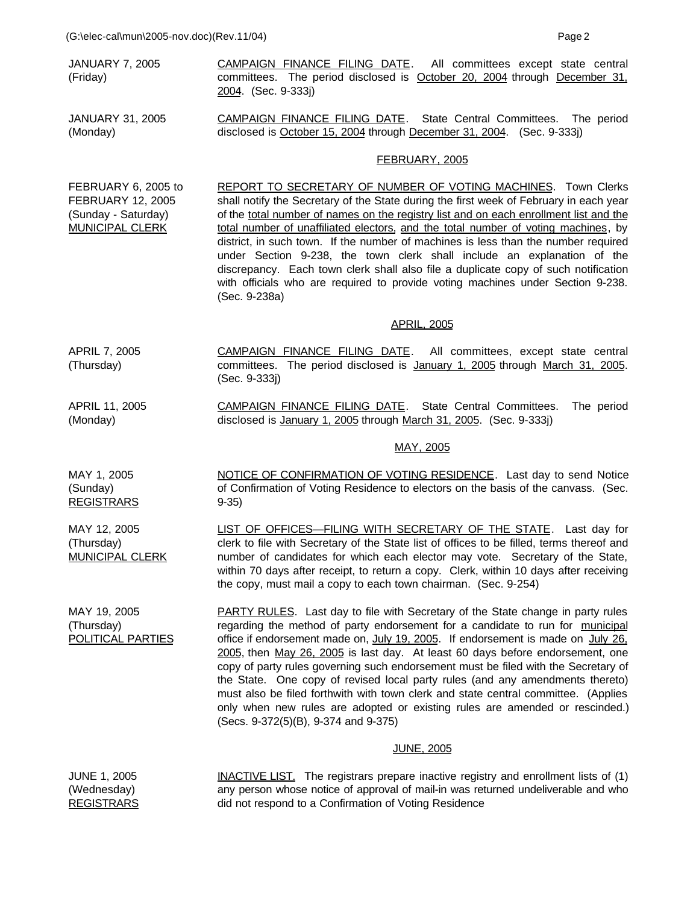JANUARY 7, 2005 (Friday)

JANUARY 31, 2005 (Monday)

committees. The period disclosed is October 20, 2004 through December 31, 2004. (Sec. 9-333j)

CAMPAIGN FINANCE FILING DATE. All committees except state central

CAMPAIGN FINANCE FILING DATE. State Central Committees. The period disclosed is October 15, 2004 through December 31, 2004. (Sec. 9-333j)

## FEBRUARY, 2005

FEBRUARY 6, 2005 to REPORT TO SECRETARY OF NUMBER OF VOTING MACHINES. Town Clerks shall notify the Secretary of the State during the first week of February in each year of the total number of names on the registry list and on each enrollment list and the total number of unaffiliated electors, and the total number of voting machines, by district, in such town. If the number of machines is less than the number required under Section 9-238, the town clerk shall include an explanation of the discrepancy. Each town clerk shall also file a duplicate copy of such notification with officials who are required to provide voting machines under Section 9-238. (Sec. 9-238a)

## APRIL, 2005

- APRIL 7, 2005 (Thursday) CAMPAIGN FINANCE FILING DATE. All committees, except state central committees. The period disclosed is January 1, 2005 through March 31, 2005. (Sec. 9-333j)
- APRIL 11, 2005 CAMPAIGN FINANCE FILING DATE. State Central Committees. The period disclosed is January 1, 2005 through March 31, 2005. (Sec. 9-333j)

# MAY, 2005

MAY 1, 2005 **REGISTRARS** NOTICE OF CONFIRMATION OF VOTING RESIDENCE. Last day to send Notice of Confirmation of Voting Residence to electors on the basis of the canvass. (Sec. 9-35)

> LIST OF OFFICES—FILING WITH SECRETARY OF THE STATE. Last day for clerk to file with Secretary of the State list of offices to be filled, terms thereof and number of candidates for which each elector may vote. Secretary of the State, within 70 days after receipt, to return a copy. Clerk, within 10 days after receiving the copy, must mail a copy to each town chairman. (Sec. 9-254)

POLITICAL PARTIES PARTY RULES. Last day to file with Secretary of the State change in party rules regarding the method of party endorsement for a candidate to run for municipal office if endorsement made on, July 19, 2005. If endorsement is made on July 26, 2005, then May 26, 2005 is last day. At least 60 days before endorsement, one copy of party rules governing such endorsement must be filed with the Secretary of the State. One copy of revised local party rules (and any amendments thereto) must also be filed forthwith with town clerk and state central committee. (Applies only when new rules are adopted or existing rules are amended or rescinded.) (Secs. 9-372(5)(B), 9-374 and 9-375)

## JUNE, 2005

| <b>JUNE 1, 2005</b> | <b>INACTIVE LIST.</b> The registrars prepare inactive registry and enrollment lists of (1) |
|---------------------|--------------------------------------------------------------------------------------------|
| (Wednesday)         | any person whose notice of approval of mail-in was returned undeliverable and who          |
| <b>REGISTRARS</b>   | did not respond to a Confirmation of Voting Residence                                      |

FEBRUARY 12, 2005 (Sunday - Saturday) MUNICIPAL CLERK

(Monday)

(Sunday)

MAY 12, 2005 (Thursday) MUNICIPAL CLERK

MAY 19, 2005 (Thursday)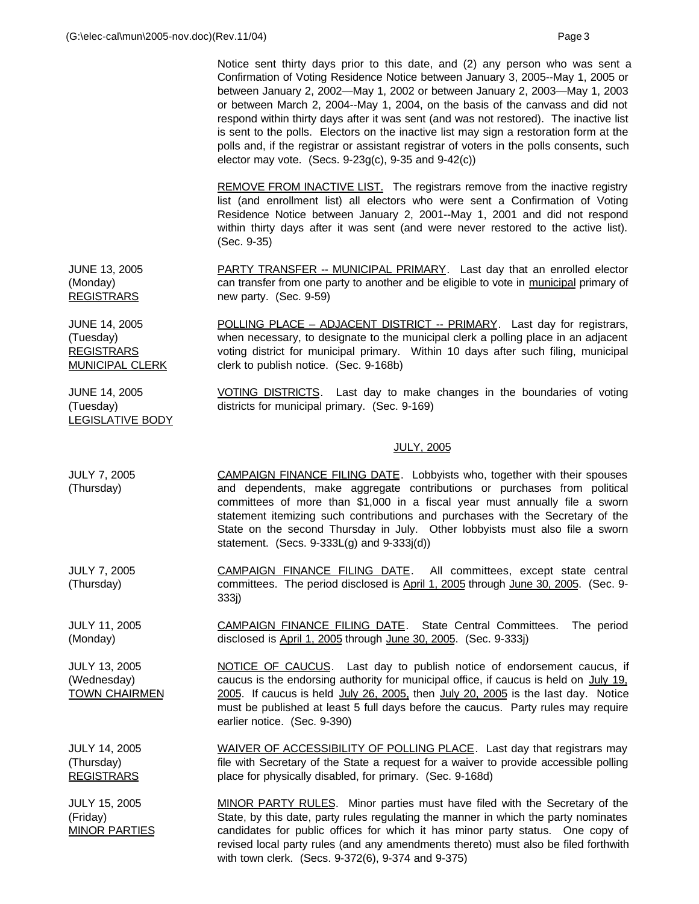JUNE 14, 2005 (Tuesday)

LEGISLATIVE BODY

Notice sent thirty days prior to this date, and (2) any person who was sent a Confirmation of Voting Residence Notice between January 3, 2005--May 1, 2005 or between January 2, 2002—May 1, 2002 or between January 2, 2003—May 1, 2003 or between March 2, 2004--May 1, 2004, on the basis of the canvass and did not respond within thirty days after it was sent (and was not restored). The inactive list is sent to the polls. Electors on the inactive list may sign a restoration form at the polls and, if the registrar or assistant registrar of voters in the polls consents, such elector may vote. (Secs. 9-23g(c), 9-35 and 9-42(c))

REMOVE FROM INACTIVE LIST. The registrars remove from the inactive registry list (and enrollment list) all electors who were sent a Confirmation of Voting Residence Notice between January 2, 2001--May 1, 2001 and did not respond within thirty days after it was sent (and were never restored to the active list). (Sec. 9-35)

JUNE 13, 2005 (Monday) REGISTRARS PARTY TRANSFER -- MUNICIPAL PRIMARY. Last day that an enrolled elector can transfer from one party to another and be eligible to vote in municipal primary of new party. (Sec. 9-59)

JUNE 14, 2005 (Tuesday) **REGISTRARS** MUNICIPAL CLERK POLLING PLACE – ADJACENT DISTRICT -- PRIMARY. Last day for registrars, when necessary, to designate to the municipal clerk a polling place in an adjacent voting district for municipal primary. Within 10 days after such filing, municipal clerk to publish notice. (Sec. 9-168b)

> VOTING DISTRICTS. Last day to make changes in the boundaries of voting districts for municipal primary. (Sec. 9-169)

## JULY, 2005

- JULY 7, 2005 (Thursday) CAMPAIGN FINANCE FILING DATE. Lobbyists who, together with their spouses and dependents, make aggregate contributions or purchases from political committees of more than \$1,000 in a fiscal year must annually file a sworn statement itemizing such contributions and purchases with the Secretary of the State on the second Thursday in July. Other lobbyists must also file a sworn statement. (Secs. 9-333L(g) and 9-333j(d))
- JULY 7, 2005 (Thursday) CAMPAIGN FINANCE FILING DATE. All committees, except state central committees. The period disclosed is April 1, 2005 through June 30, 2005. (Sec. 9- 333j)

JULY 11, 2005 (Monday) CAMPAIGN FINANCE FILING DATE. State Central Committees. The period disclosed is April 1, 2005 through June 30, 2005. (Sec. 9-333j)

JULY 13, 2005 (Wednesday) TOWN CHAIRMEN NOTICE OF CAUCUS. Last day to publish notice of endorsement caucus, if caucus is the endorsing authority for municipal office, if caucus is held on July 19, 2005. If caucus is held July 26, 2005, then July 20, 2005 is the last day. Notice must be published at least 5 full days before the caucus. Party rules may require earlier notice. (Sec. 9-390)

JULY 14, 2005 (Thursday) REGISTRARS WAIVER OF ACCESSIBILITY OF POLLING PLACE. Last day that registrars may file with Secretary of the State a request for a waiver to provide accessible polling place for physically disabled, for primary. (Sec. 9-168d)

JULY 15, 2005 (Friday) MINOR PARTIES MINOR PARTY RULES. Minor parties must have filed with the Secretary of the State, by this date, party rules regulating the manner in which the party nominates candidates for public offices for which it has minor party status. One copy of revised local party rules (and any amendments thereto) must also be filed forthwith with town clerk. (Secs. 9-372(6), 9-374 and 9-375)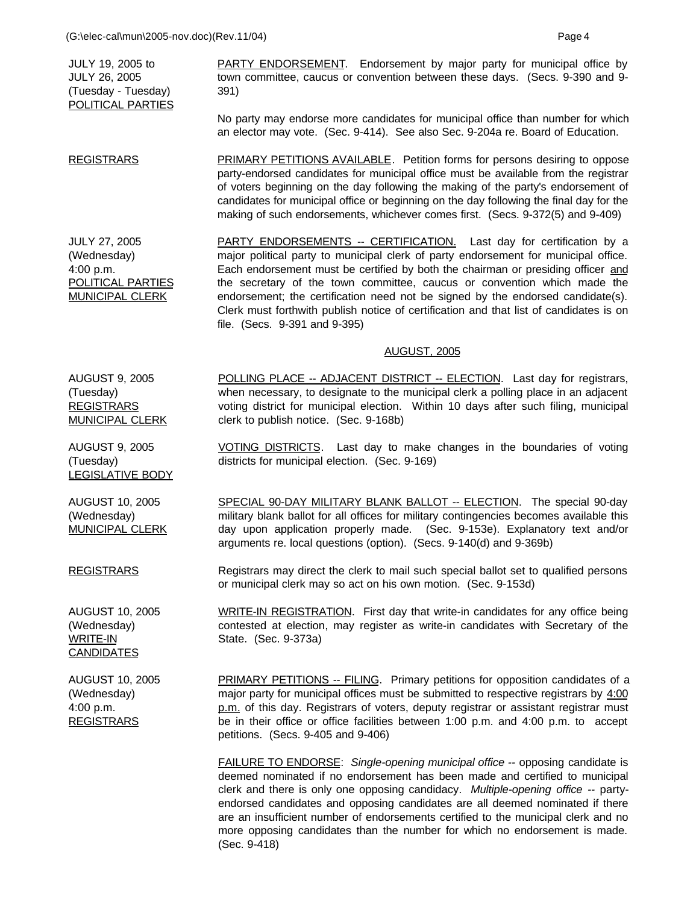JULY 19, 2005 to JULY 26, 2005 (Tuesday - Tuesday) POLITICAL PARTIES PARTY ENDORSEMENT. Endorsement by major party for municipal office by town committee, caucus or convention between these days. (Secs. 9-390 and 9- 391)

No party may endorse more candidates for municipal office than number for which an elector may vote. (Sec. 9-414). See also Sec. 9-204a re. Board of Education.

REGISTRARS PRIMARY PETITIONS AVAILABLE. Petition forms for persons desiring to oppose party-endorsed candidates for municipal office must be available from the registrar of voters beginning on the day following the making of the party's endorsement of candidates for municipal office or beginning on the day following the final day for the making of such endorsements, whichever comes first. (Secs. 9-372(5) and 9-409)

JULY 27, 2005 (Wednesday) 4:00 p.m. POLITICAL PARTIES MUNICIPAL CLERK PARTY ENDORSEMENTS -- CERTIFICATION. Last day for certification by a major political party to municipal clerk of party endorsement for municipal office. Each endorsement must be certified by both the chairman or presiding officer and the secretary of the town committee, caucus or convention which made the endorsement; the certification need not be signed by the endorsed candidate(s). Clerk must forthwith publish notice of certification and that list of candidates is on file. (Secs. 9-391 and 9-395)

## AUGUST, 2005

MUNICIPAL CLERK POLLING PLACE -- ADJACENT DISTRICT -- ELECTION. Last day for registrars, when necessary, to designate to the municipal clerk a polling place in an adjacent voting district for municipal election. Within 10 days after such filing, municipal clerk to publish notice. (Sec. 9-168b)

> VOTING DISTRICTS. Last day to make changes in the boundaries of voting districts for municipal election. (Sec. 9-169)

SPECIAL 90-DAY MILITARY BLANK BALLOT -- ELECTION. The special 90-day military blank ballot for all offices for military contingencies becomes available this day upon application properly made. (Sec. 9-153e). Explanatory text and/or arguments re. local questions (option). (Secs. 9-140(d) and 9-369b)

Registrars may direct the clerk to mail such special ballot set to qualified persons or municipal clerk may so act on his own motion. (Sec. 9-153d)

(Wednesday) WRITE-IN **CANDIDATES** 

AUGUST 10, 2005 (Wednesday) 4:00 p.m. **REGISTRARS** 

PRIMARY PETITIONS -- FILING. Primary petitions for opposition candidates of a major party for municipal offices must be submitted to respective registrars by  $4:00$ p.m. of this day. Registrars of voters, deputy registrar or assistant registrar must be in their office or office facilities between 1:00 p.m. and 4:00 p.m. to accept petitions. (Secs. 9-405 and 9-406)

FAILURE TO ENDORSE: *Single-opening municipal office --* opposing candidate is deemed nominated if no endorsement has been made and certified to municipal clerk and there is only one opposing candidacy. *Multiple-opening office --* partyendorsed candidates and opposing candidates are all deemed nominated if there are an insufficient number of endorsements certified to the municipal clerk and no more opposing candidates than the number for which no endorsement is made. (Sec. 9-418)

AUGUST 9, 2005

(Tuesday) REGISTRARS

AUGUST 9, 2005 (Tuesday) LEGISLATIVE BODY

AUGUST 10, 2005 (Wednesday) MUNICIPAL CLERK

**REGISTRARS** 

AUGUST 10, 2005

WRITE-IN REGISTRATION. First day that write-in candidates for any office being contested at election, may register as write-in candidates with Secretary of the State. (Sec. 9-373a)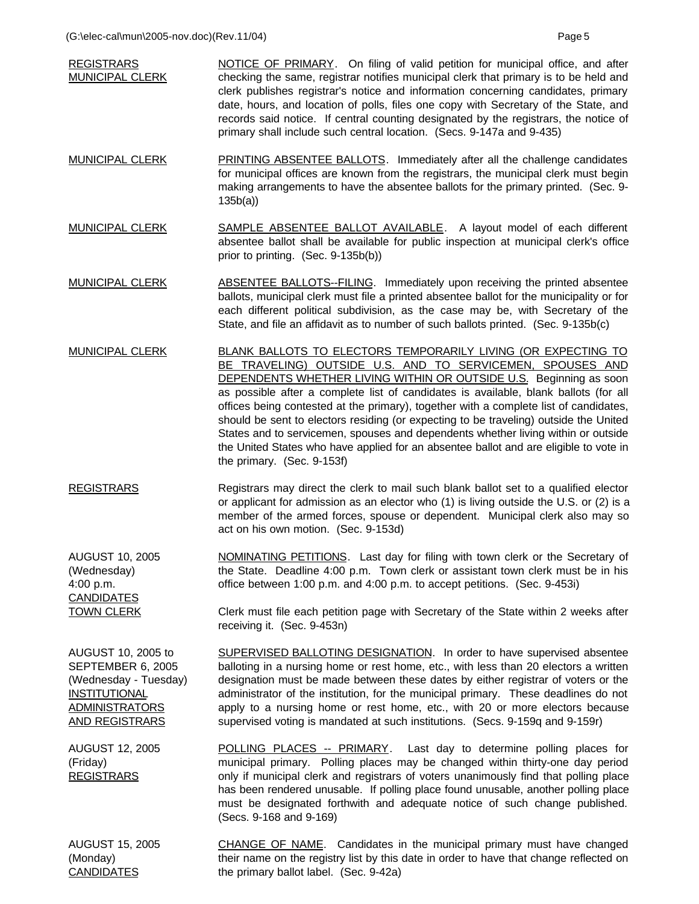| <b>REGISTRARS</b><br><b>MUNICIPAL CLERK</b>                                                                                                | NOTICE OF PRIMARY. On filing of valid petition for municipal office, and after<br>checking the same, registrar notifies municipal clerk that primary is to be held and<br>clerk publishes registrar's notice and information concerning candidates, primary<br>date, hours, and location of polls, files one copy with Secretary of the State, and<br>records said notice. If central counting designated by the registrars, the notice of<br>primary shall include such central location. (Secs. 9-147a and 9-435)                                                                                                                                                                           |
|--------------------------------------------------------------------------------------------------------------------------------------------|-----------------------------------------------------------------------------------------------------------------------------------------------------------------------------------------------------------------------------------------------------------------------------------------------------------------------------------------------------------------------------------------------------------------------------------------------------------------------------------------------------------------------------------------------------------------------------------------------------------------------------------------------------------------------------------------------|
| <b>MUNICIPAL CLERK</b>                                                                                                                     | <b>PRINTING ABSENTEE BALLOTS.</b> Immediately after all the challenge candidates<br>for municipal offices are known from the registrars, the municipal clerk must begin<br>making arrangements to have the absentee ballots for the primary printed. (Sec. 9-<br>135b(a)                                                                                                                                                                                                                                                                                                                                                                                                                      |
| <b>MUNICIPAL CLERK</b>                                                                                                                     | <b>SAMPLE ABSENTEE BALLOT AVAILABLE.</b> A layout model of each different<br>absentee ballot shall be available for public inspection at municipal clerk's office<br>prior to printing. (Sec. 9-135b(b))                                                                                                                                                                                                                                                                                                                                                                                                                                                                                      |
| <b>MUNICIPAL CLERK</b>                                                                                                                     | ABSENTEE BALLOTS--FILING. Immediately upon receiving the printed absentee<br>ballots, municipal clerk must file a printed absentee ballot for the municipality or for<br>each different political subdivision, as the case may be, with Secretary of the<br>State, and file an affidavit as to number of such ballots printed. (Sec. 9-135b(c)                                                                                                                                                                                                                                                                                                                                                |
| <b>MUNICIPAL CLERK</b>                                                                                                                     | BLANK BALLOTS TO ELECTORS TEMPORARILY LIVING (OR EXPECTING TO<br>BE TRAVELING) OUTSIDE U.S. AND TO SERVICEMEN, SPOUSES AND<br><b>DEPENDENTS WHETHER LIVING WITHIN OR OUTSIDE U.S.</b> Beginning as soon<br>as possible after a complete list of candidates is available, blank ballots (for all<br>offices being contested at the primary), together with a complete list of candidates,<br>should be sent to electors residing (or expecting to be traveling) outside the United<br>States and to servicemen, spouses and dependents whether living within or outside<br>the United States who have applied for an absentee ballot and are eligible to vote in<br>the primary. (Sec. 9-153f) |
| <b>REGISTRARS</b>                                                                                                                          | Registrars may direct the clerk to mail such blank ballot set to a qualified elector<br>or applicant for admission as an elector who (1) is living outside the U.S. or (2) is a<br>member of the armed forces, spouse or dependent. Municipal clerk also may so<br>act on his own motion. (Sec. 9-153d)                                                                                                                                                                                                                                                                                                                                                                                       |
| <b>AUGUST 10, 2005</b><br>(Wednesday)<br>4:00 p.m.<br><b>CANDIDATES</b>                                                                    | NOMINATING PETITIONS. Last day for filing with town clerk or the Secretary of<br>the State. Deadline 4:00 p.m. Town clerk or assistant town clerk must be in his<br>office between 1:00 p.m. and 4:00 p.m. to accept petitions. (Sec. 9-453i)                                                                                                                                                                                                                                                                                                                                                                                                                                                 |
| <b>TOWN CLERK</b>                                                                                                                          | Clerk must file each petition page with Secretary of the State within 2 weeks after<br>receiving it. (Sec. 9-453n)                                                                                                                                                                                                                                                                                                                                                                                                                                                                                                                                                                            |
| AUGUST 10, 2005 to<br>SEPTEMBER 6, 2005<br>(Wednesday - Tuesday)<br><b>INSTITUTIONAL</b><br><b>ADMINISTRATORS</b><br><b>AND REGISTRARS</b> | SUPERVISED BALLOTING DESIGNATION. In order to have supervised absentee<br>balloting in a nursing home or rest home, etc., with less than 20 electors a written<br>designation must be made between these dates by either registrar of voters or the<br>administrator of the institution, for the municipal primary. These deadlines do not<br>apply to a nursing home or rest home, etc., with 20 or more electors because<br>supervised voting is mandated at such institutions. (Secs. 9-159q and 9-159r)                                                                                                                                                                                   |
| <b>AUGUST 12, 2005</b><br>(Friday)<br><b>REGISTRARS</b>                                                                                    | <b>POLLING PLACES -- PRIMARY.</b> Last day to determine polling places for<br>municipal primary. Polling places may be changed within thirty-one day period<br>only if municipal clerk and registrars of voters unanimously find that polling place<br>has been rendered unusable. If polling place found unusable, another polling place<br>must be designated forthwith and adequate notice of such change published.<br>(Secs. 9-168 and 9-169)                                                                                                                                                                                                                                            |
| <b>AUGUST 15, 2005</b><br>(Monday)<br><b>CANDIDATES</b>                                                                                    | CHANGE OF NAME. Candidates in the municipal primary must have changed<br>their name on the registry list by this date in order to have that change reflected on<br>the primary ballot label. (Sec. 9-42a)                                                                                                                                                                                                                                                                                                                                                                                                                                                                                     |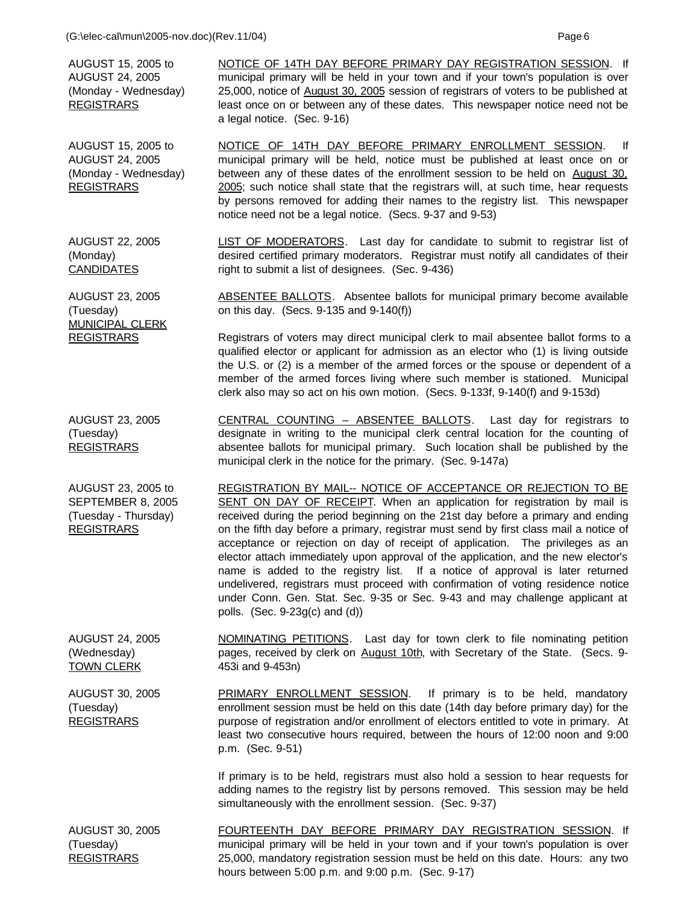AUGUST 15, 2005 to AUGUST 24, 2005 (Monday - Wednesday) REGISTRARS

AUGUST 15, 2005 to AUGUST 24, 2005 (Monday - Wednesday)

REGISTRARS

NOTICE OF 14TH DAY BEFORE PRIMARY DAY REGISTRATION SESSION. If municipal primary will be held in your town and if your town's population is over 25,000, notice of August 30, 2005 session of registrars of voters to be published at least once on or between any of these dates. This newspaper notice need not be a legal notice. (Sec. 9-16)

NOTICE OF 14TH DAY BEFORE PRIMARY ENROLLMENT SESSION. If municipal primary will be held, notice must be published at least once on or between any of these dates of the enrollment session to be held on August 30, 2005; such notice shall state that the registrars will, at such time, hear requests by persons removed for adding their names to the registry list. This newspaper notice need not be a legal notice. (Secs. 9-37 and 9-53)

AUGUST 22, 2005 (Monday) **CANDIDATES** LIST OF MODERATORS. Last day for candidate to submit to registrar list of desired certified primary moderators. Registrar must notify all candidates of their right to submit a list of designees. (Sec. 9-436)

> ABSENTEE BALLOTS. Absentee ballots for municipal primary become available on this day. (Secs. 9-135 and 9-140(f))

Registrars of voters may direct municipal clerk to mail absentee ballot forms to a qualified elector or applicant for admission as an elector who (1) is living outside the U.S. or (2) is a member of the armed forces or the spouse or dependent of a member of the armed forces living where such member is stationed. Municipal clerk also may so act on his own motion. (Secs. 9-133f, 9-140(f) and 9-153d)

AUGUST 23, 2005 (Tuesday) REGISTRARS

AUGUST 23, 2005

MUNICIPAL CLERK **REGISTRARS** 

(Tuesday)

CENTRAL COUNTING – ABSENTEE BALLOTS. Last day for registrars to designate in writing to the municipal clerk central location for the counting of absentee ballots for municipal primary. Such location shall be published by the municipal clerk in the notice for the primary. (Sec. 9-147a)

AUGUST 23, 2005 to SEPTEMBER 8, 2005 (Tuesday - Thursday) REGISTRARS REGISTRATION BY MAIL-- NOTICE OF ACCEPTANCE OR REJECTION TO BE SENT ON DAY OF RECEIPT. When an application for registration by mail is received during the period beginning on the 21st day before a primary and ending on the fifth day before a primary, registrar must send by first class mail a notice of acceptance or rejection on day of receipt of application. The privileges as an elector attach immediately upon approval of the application, and the new elector's name is added to the registry list. If a notice of approval is later returned undelivered, registrars must proceed with confirmation of voting residence notice under Conn. Gen. Stat. Sec. 9-35 or Sec. 9-43 and may challenge applicant at polls. (Sec. 9-23g(c) and (d))

AUGUST 24, 2005 (Wednesday) TOWN CLERK NOMINATING PETITIONS. Last day for town clerk to file nominating petition pages, received by clerk on August 10th, with Secretary of the State. (Secs. 9-453i and 9-453n)

AUGUST 30, 2005 (Tuesday) **REGISTRARS** PRIMARY ENROLLMENT SESSION. If primary is to be held, mandatory enrollment session must be held on this date (14th day before primary day) for the purpose of registration and/or enrollment of electors entitled to vote in primary. At least two consecutive hours required, between the hours of 12:00 noon and 9:00 p.m. (Sec. 9-51)

> If primary is to be held, registrars must also hold a session to hear requests for adding names to the registry list by persons removed. This session may be held simultaneously with the enrollment session. (Sec. 9-37)

AUGUST 30, 2005 (Tuesday) REGISTRARS FOURTEENTH DAY BEFORE PRIMARY DAY REGISTRATION SESSION. If municipal primary will be held in your town and if your town's population is over 25,000, mandatory registration session must be held on this date. Hours: any two hours between 5:00 p.m. and 9:00 p.m. (Sec. 9-17)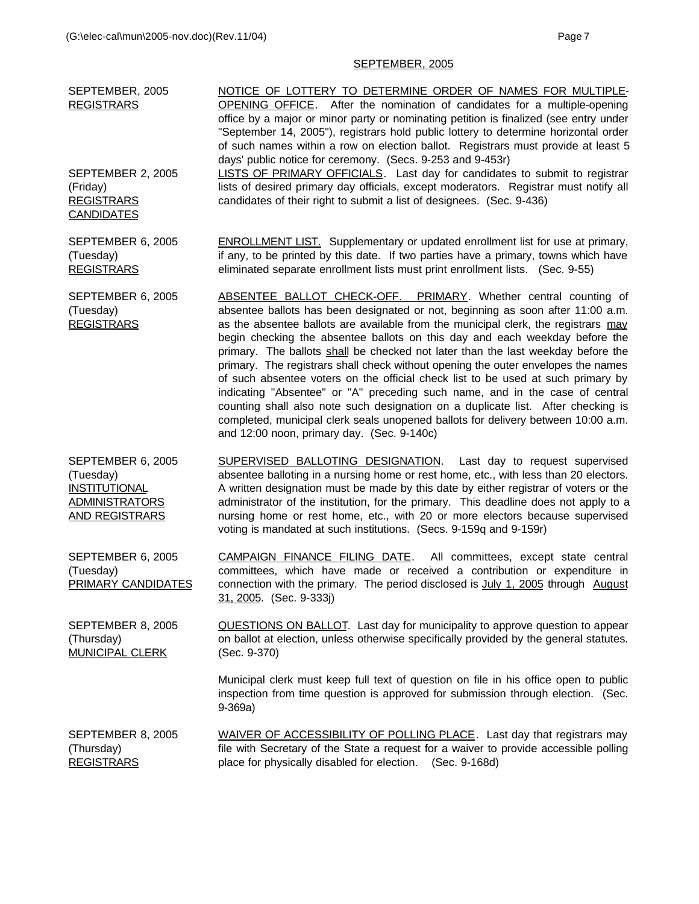# SEPTEMBER, 2005

| SEPTEMBER, 2005<br><b>REGISTRARS</b>                                                                     | NOTICE OF LOTTERY TO DETERMINE ORDER OF NAMES FOR MULTIPLE-<br><b>OPENING OFFICE</b> . After the nomination of candidates for a multiple-opening<br>office by a major or minor party or nominating petition is finalized (see entry under<br>"September 14, 2005"), registrars hold public lottery to determine horizontal order<br>of such names within a row on election ballot. Registrars must provide at least 5<br>days' public notice for ceremony. (Secs. 9-253 and 9-453r)                                                                                                                                                                                                                                                                                                                                                                                                         |
|----------------------------------------------------------------------------------------------------------|---------------------------------------------------------------------------------------------------------------------------------------------------------------------------------------------------------------------------------------------------------------------------------------------------------------------------------------------------------------------------------------------------------------------------------------------------------------------------------------------------------------------------------------------------------------------------------------------------------------------------------------------------------------------------------------------------------------------------------------------------------------------------------------------------------------------------------------------------------------------------------------------|
| SEPTEMBER 2, 2005<br>(Friday)<br><b>REGISTRARS</b><br><b>CANDIDATES</b>                                  | LISTS OF PRIMARY OFFICIALS. Last day for candidates to submit to registrar<br>lists of desired primary day officials, except moderators. Registrar must notify all<br>candidates of their right to submit a list of designees. (Sec. 9-436)                                                                                                                                                                                                                                                                                                                                                                                                                                                                                                                                                                                                                                                 |
| SEPTEMBER 6, 2005<br>(Tuesday)<br><b>REGISTRARS</b>                                                      | <b>ENROLLMENT LIST.</b> Supplementary or updated enrollment list for use at primary,<br>if any, to be printed by this date. If two parties have a primary, towns which have<br>eliminated separate enrollment lists must print enrollment lists. (Sec. 9-55)                                                                                                                                                                                                                                                                                                                                                                                                                                                                                                                                                                                                                                |
| SEPTEMBER 6, 2005<br>(Tuesday)<br><b>REGISTRARS</b>                                                      | ABSENTEE BALLOT CHECK-OFF. PRIMARY. Whether central counting of<br>absentee ballots has been designated or not, beginning as soon after 11:00 a.m.<br>as the absentee ballots are available from the municipal clerk, the registrars may<br>begin checking the absentee ballots on this day and each weekday before the<br>primary. The ballots shall be checked not later than the last weekday before the<br>primary. The registrars shall check without opening the outer envelopes the names<br>of such absentee voters on the official check list to be used at such primary by<br>indicating "Absentee" or "A" preceding such name, and in the case of central<br>counting shall also note such designation on a duplicate list. After checking is<br>completed, municipal clerk seals unopened ballots for delivery between 10:00 a.m.<br>and 12:00 noon, primary day. (Sec. 9-140c) |
| SEPTEMBER 6, 2005<br>(Tuesday)<br><b>INSTITUTIONAL</b><br><b>ADMINISTRATORS</b><br><b>AND REGISTRARS</b> | <b>SUPERVISED BALLOTING DESIGNATION.</b> Last day to request supervised<br>absentee balloting in a nursing home or rest home, etc., with less than 20 electors.<br>A written designation must be made by this date by either registrar of voters or the<br>administrator of the institution, for the primary. This deadline does not apply to a<br>nursing home or rest home, etc., with 20 or more electors because supervised<br>voting is mandated at such institutions. (Secs. 9-159q and 9-159r)                                                                                                                                                                                                                                                                                                                                                                                       |
| SEPTEMBER 6, 2005<br>(Tuesday)<br>PRIMARY CANDIDATES                                                     | CAMPAIGN FINANCE FILING DATE. All committees, except state central<br>committees, which have made or received a contribution or expenditure in<br>connection with the primary. The period disclosed is July 1, 2005 through August<br>31, 2005. (Sec. 9-333j)                                                                                                                                                                                                                                                                                                                                                                                                                                                                                                                                                                                                                               |
| SEPTEMBER 8, 2005<br>(Thursday)<br><b>MUNICIPAL CLERK</b>                                                | <b>QUESTIONS ON BALLOT.</b> Last day for municipality to approve question to appear<br>on ballot at election, unless otherwise specifically provided by the general statutes.<br>(Sec. 9-370)                                                                                                                                                                                                                                                                                                                                                                                                                                                                                                                                                                                                                                                                                               |
|                                                                                                          | Municipal clerk must keep full text of question on file in his office open to public<br>inspection from time question is approved for submission through election. (Sec.<br>$9-369a)$                                                                                                                                                                                                                                                                                                                                                                                                                                                                                                                                                                                                                                                                                                       |
| SEPTEMBER 8, 2005<br>(Thursday)<br><b>REGISTRARS</b>                                                     | WAIVER OF ACCESSIBILITY OF POLLING PLACE. Last day that registrars may<br>file with Secretary of the State a request for a waiver to provide accessible polling<br>place for physically disabled for election. (Sec. 9-168d)                                                                                                                                                                                                                                                                                                                                                                                                                                                                                                                                                                                                                                                                |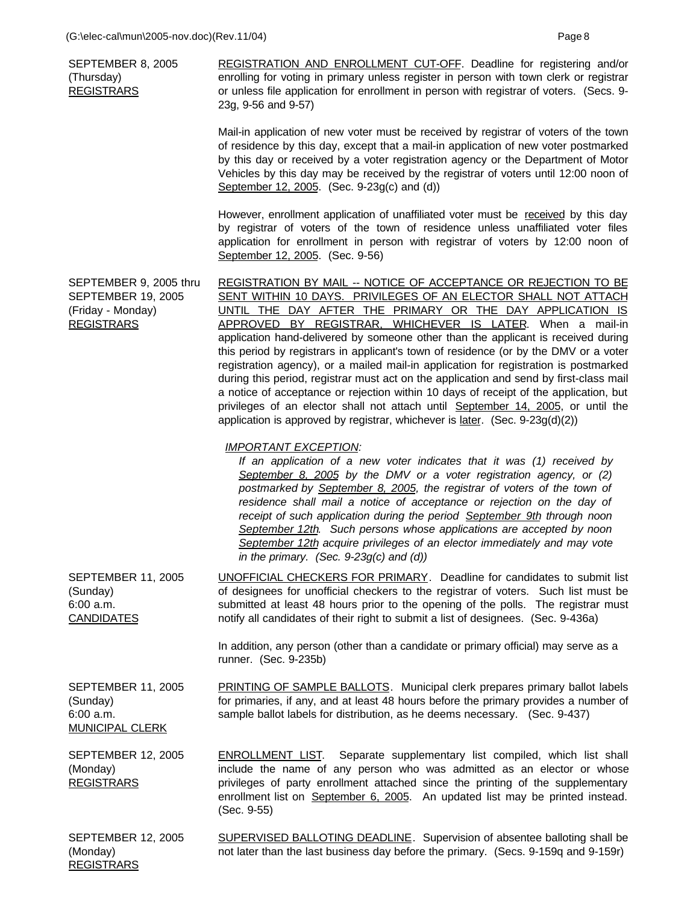SEPTEMBER 8, 2005 (Thursday) **REGISTRARS** REGISTRATION AND ENROLLMENT CUT-OFF. Deadline for registering and/or enrolling for voting in primary unless register in person with town clerk or registrar or unless file application for enrollment in person with registrar of voters. (Secs. 9- 23g, 9-56 and 9-57)

> Mail-in application of new voter must be received by registrar of voters of the town of residence by this day, except that a mail-in application of new voter postmarked by this day or received by a voter registration agency or the Department of Motor Vehicles by this day may be received by the registrar of voters until 12:00 noon of September 12, 2005. (Sec. 9-23g(c) and (d))

> However, enrollment application of unaffiliated voter must be received by this day by registrar of voters of the town of residence unless unaffiliated voter files application for enrollment in person with registrar of voters by 12:00 noon of September 12, 2005. (Sec. 9-56)

SEPTEMBER 9, 2005 thru SEPTEMBER 19, 2005 (Friday - Monday) REGISTRARS REGISTRATION BY MAIL -- NOTICE OF ACCEPTANCE OR REJECTION TO BE SENT WITHIN 10 DAYS. PRIVILEGES OF AN ELECTOR SHALL NOT ATTACH UNTIL THE DAY AFTER THE PRIMARY OR THE DAY APPLICATION IS APPROVED BY REGISTRAR, WHICHEVER IS LATER. When a mail-in application hand-delivered by someone other than the applicant is received during this period by registrars in applicant's town of residence (or by the DMV or a voter registration agency), or a mailed mail-in application for registration is postmarked during this period, registrar must act on the application and send by first-class mail a notice of acceptance or rejection within 10 days of receipt of the application, but privileges of an elector shall not attach until September 14, 2005, or until the application is approved by registrar, whichever is later. (Sec. 9-23g(d)(2))

## *IMPORTANT EXCEPTION:*

*If an application of a new voter indicates that it was (1) received by September 8, 2005 by the DMV or a voter registration agency, or (2) postmarked by September 8, 2005, the registrar of voters of the town of residence shall mail a notice of acceptance or rejection on the day of receipt of such application during the period September 9th through noon September 12th. Such persons whose applications are accepted by noon September 12th acquire privileges of an elector immediately and may vote in the primary. (Sec. 9-23g(c) and (d))*

SEPTEMBER 11, 2005 (Sunday) 6:00 a.m. CANDIDATES UNOFFICIAL CHECKERS FOR PRIMARY. Deadline for candidates to submit list of designees for unofficial checkers to the registrar of voters. Such list must be submitted at least 48 hours prior to the opening of the polls. The registrar must notify all candidates of their right to submit a list of designees. (Sec. 9-436a)

> In addition, any person (other than a candidate or primary official) may serve as a runner. (Sec. 9-235b)

SEPTEMBER 11, 2005 (Sunday) 6:00 a.m. MUNICIPAL CLERK PRINTING OF SAMPLE BALLOTS. Municipal clerk prepares primary ballot labels for primaries, if any, and at least 48 hours before the primary provides a number of sample ballot labels for distribution, as he deems necessary. (Sec. 9-437)

SEPTEMBER 12, 2005 (Monday) REGISTRARS ENROLLMENT LIST. Separate supplementary list compiled, which list shall include the name of any person who was admitted as an elector or whose privileges of party enrollment attached since the printing of the supplementary enrollment list on September 6, 2005. An updated list may be printed instead. (Sec. 9-55)

SEPTEMBER 12, 2005 (Monday) REGISTRARS SUPERVISED BALLOTING DEADLINE. Supervision of absentee balloting shall be not later than the last business day before the primary. (Secs. 9-159q and 9-159r)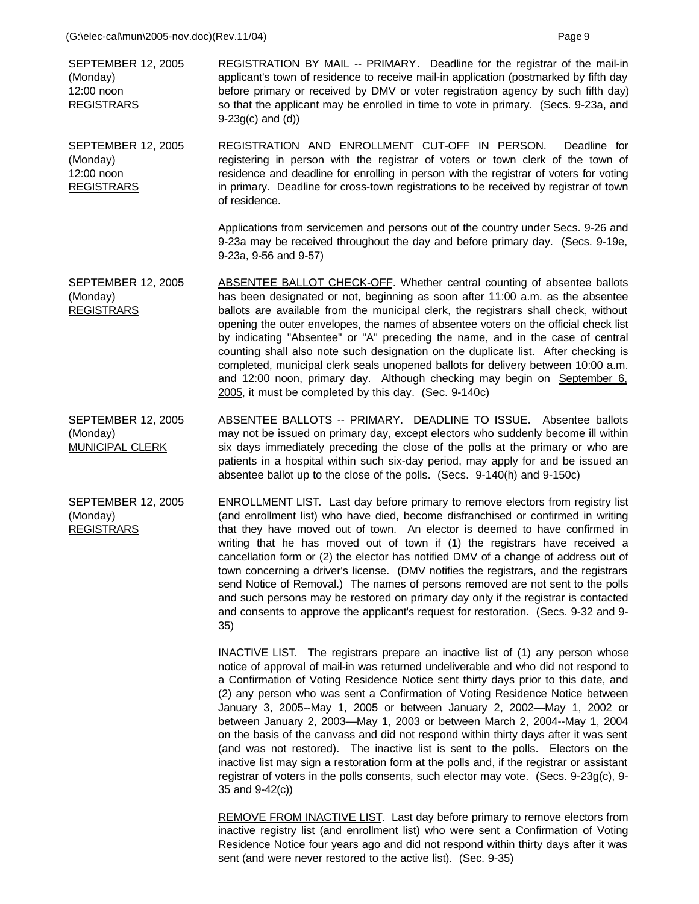| <b>SEPTEMBER 12, 2005</b><br>(Monday)<br>12:00 noon<br><b>REGISTRARS</b> | <b>REGISTRATION BY MAIL -- PRIMARY.</b> Deadline for the registrar of the mail-in<br>applicant's town of residence to receive mail-in application (postmarked by fifth day<br>before primary or received by DMV or voter registration agency by such fifth day)<br>so that the applicant may be enrolled in time to vote in primary. (Secs. 9-23a, and<br>$9-23g(c)$ and $(d)$                                                                                                                                                                                                                                                                                                                                                                                                                                                                                                                 |
|--------------------------------------------------------------------------|------------------------------------------------------------------------------------------------------------------------------------------------------------------------------------------------------------------------------------------------------------------------------------------------------------------------------------------------------------------------------------------------------------------------------------------------------------------------------------------------------------------------------------------------------------------------------------------------------------------------------------------------------------------------------------------------------------------------------------------------------------------------------------------------------------------------------------------------------------------------------------------------|
| <b>SEPTEMBER 12, 2005</b><br>(Monday)<br>12:00 noon<br><b>REGISTRARS</b> | REGISTRATION AND ENROLLMENT CUT-OFF IN PERSON.<br>Deadline for<br>registering in person with the registrar of voters or town clerk of the town of<br>residence and deadline for enrolling in person with the registrar of voters for voting<br>in primary. Deadline for cross-town registrations to be received by registrar of town<br>of residence.                                                                                                                                                                                                                                                                                                                                                                                                                                                                                                                                          |
|                                                                          | Applications from servicemen and persons out of the country under Secs. 9-26 and<br>9-23a may be received throughout the day and before primary day. (Secs. 9-19e,<br>9-23a, 9-56 and 9-57)                                                                                                                                                                                                                                                                                                                                                                                                                                                                                                                                                                                                                                                                                                    |
| <b>SEPTEMBER 12, 2005</b><br>(Monday)<br><b>REGISTRARS</b>               | <b>ABSENTEE BALLOT CHECK-OFF.</b> Whether central counting of absentee ballots<br>has been designated or not, beginning as soon after 11:00 a.m. as the absentee<br>ballots are available from the municipal clerk, the registrars shall check, without<br>opening the outer envelopes, the names of absentee voters on the official check list<br>by indicating "Absentee" or "A" preceding the name, and in the case of central<br>counting shall also note such designation on the duplicate list. After checking is<br>completed, municipal clerk seals unopened ballots for delivery between 10:00 a.m.<br>and 12:00 noon, primary day. Although checking may begin on September 6,<br>2005, it must be completed by this day. (Sec. 9-140c)                                                                                                                                              |
| <b>SEPTEMBER 12, 2005</b><br>(Monday)<br><b>MUNICIPAL CLERK</b>          | ABSENTEE BALLOTS -- PRIMARY. DEADLINE TO ISSUE. Absentee ballots<br>may not be issued on primary day, except electors who suddenly become ill within<br>six days immediately preceding the close of the polls at the primary or who are<br>patients in a hospital within such six-day period, may apply for and be issued an<br>absentee ballot up to the close of the polls. (Secs. 9-140(h) and 9-150c)                                                                                                                                                                                                                                                                                                                                                                                                                                                                                      |
| <b>SEPTEMBER 12, 2005</b><br>(Monday)<br><b>REGISTRARS</b>               | <b>ENROLLMENT LIST.</b> Last day before primary to remove electors from registry list<br>(and enrollment list) who have died, become disfranchised or confirmed in writing<br>that they have moved out of town. An elector is deemed to have confirmed in<br>writing that he has moved out of town if (1) the registrars have received a<br>cancellation form or (2) the elector has notified DMV of a change of address out of<br>town concerning a driver's license. (DMV notifies the registrars, and the registrars<br>send Notice of Removal.) The names of persons removed are not sent to the polls<br>and such persons may be restored on primary day only if the registrar is contacted<br>and consents to approve the applicant's request for restoration. (Secs. 9-32 and 9-<br>35)                                                                                                 |
|                                                                          | <b>INACTIVE LIST.</b> The registrars prepare an inactive list of (1) any person whose<br>notice of approval of mail-in was returned undeliverable and who did not respond to<br>a Confirmation of Voting Residence Notice sent thirty days prior to this date, and<br>(2) any person who was sent a Confirmation of Voting Residence Notice between<br>January 3, 2005--May 1, 2005 or between January 2, 2002—May 1, 2002 or<br>between January 2, 2003-May 1, 2003 or between March 2, 2004--May 1, 2004<br>on the basis of the canvass and did not respond within thirty days after it was sent<br>(and was not restored). The inactive list is sent to the polls. Electors on the<br>inactive list may sign a restoration form at the polls and, if the registrar or assistant<br>registrar of voters in the polls consents, such elector may vote. (Secs. 9-23g(c), 9-<br>35 and 9-42(c)) |

REMOVE FROM INACTIVE LIST. Last day before primary to remove electors from inactive registry list (and enrollment list) who were sent a Confirmation of Voting Residence Notice four years ago and did not respond within thirty days after it was sent (and were never restored to the active list). (Sec. 9-35)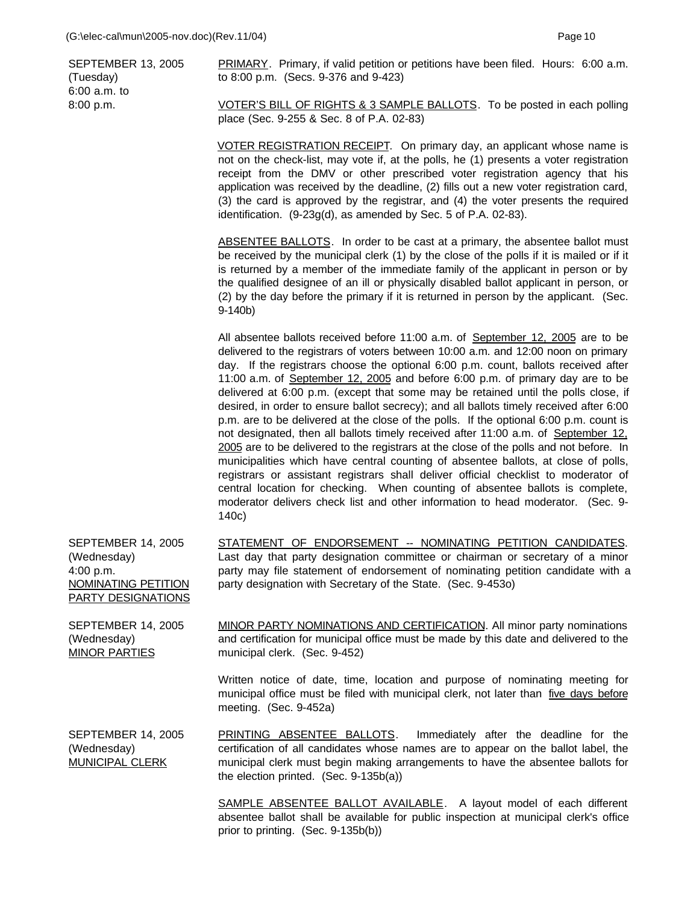SEPTEMBER 13, 2005 (Tuesday) 6:00 a.m. to 8:00 p.m.

PRIMARY. Primary, if valid petition or petitions have been filed. Hours: 6:00 a.m. to 8:00 p.m. (Secs. 9-376 and 9-423)

VOTER'S BILL OF RIGHTS & 3 SAMPLE BALLOTS. To be posted in each polling place (Sec. 9-255 & Sec. 8 of P.A. 02-83)

VOTER REGISTRATION RECEIPT. On primary day, an applicant whose name is not on the check-list, may vote if, at the polls, he (1) presents a voter registration receipt from the DMV or other prescribed voter registration agency that his application was received by the deadline, (2) fills out a new voter registration card, (3) the card is approved by the registrar, and (4) the voter presents the required identification. (9-23g(d), as amended by Sec. 5 of P.A. 02-83).

ABSENTEE BALLOTS. In order to be cast at a primary, the absentee ballot must be received by the municipal clerk (1) by the close of the polls if it is mailed or if it is returned by a member of the immediate family of the applicant in person or by the qualified designee of an ill or physically disabled ballot applicant in person, or (2) by the day before the primary if it is returned in person by the applicant. (Sec. 9-140b)

All absentee ballots received before 11:00 a.m. of September 12, 2005 are to be delivered to the registrars of voters between 10:00 a.m. and 12:00 noon on primary day. If the registrars choose the optional 6:00 p.m. count, ballots received after 11:00 a.m. of September 12, 2005 and before 6:00 p.m. of primary day are to be delivered at 6:00 p.m. (except that some may be retained until the polls close, if desired, in order to ensure ballot secrecy); and all ballots timely received after 6:00 p.m. are to be delivered at the close of the polls. If the optional 6:00 p.m. count is not designated, then all ballots timely received after 11:00 a.m. of September 12, 2005 are to be delivered to the registrars at the close of the polls and not before. In municipalities which have central counting of absentee ballots, at close of polls, registrars or assistant registrars shall deliver official checklist to moderator of central location for checking. When counting of absentee ballots is complete, moderator delivers check list and other information to head moderator. (Sec. 9- 140c)

| <b>SEPTEMBER 14, 2005</b><br>(Wednesday)<br>4:00 p.m.<br>NOMINATING PETITION<br>PARTY DESIGNATIONS | STATEMENT OF ENDORSEMENT -- NOMINATING PETITION CANDIDATES.<br>Last day that party designation committee or chairman or secretary of a minor<br>party may file statement of endorsement of nominating petition candidate with a<br>party designation with Secretary of the State. (Sec. 9-4530) |
|----------------------------------------------------------------------------------------------------|-------------------------------------------------------------------------------------------------------------------------------------------------------------------------------------------------------------------------------------------------------------------------------------------------|
| <b>SEPTEMBER 14, 2005</b><br>(Wednesday)<br><b>MINOR PARTIES</b>                                   | MINOR PARTY NOMINATIONS AND CERTIFICATION. All minor party nominations<br>and certification for municipal office must be made by this date and delivered to the<br>municipal clerk. (Sec. 9-452)                                                                                                |
|                                                                                                    | Written notice of date, time, location and purpose of nominating meeting for<br>municipal office must be filed with municipal clerk, not later than five days before<br>meeting. $(Sec. 9-452a)$                                                                                                |
| <b>SEPTEMBER 14, 2005</b><br>(Wednesday)<br><b>MUNICIPAL CLERK</b>                                 | PRINTING ABSENTEE BALLOTS. Immediately after the deadline for the<br>certification of all candidates whose names are to appear on the ballot label, the<br>municipal clerk must begin making arrangements to have the absentee ballots for<br>the election printed. $(Sec. 9-135b(a))$          |

SAMPLE ABSENTEE BALLOT AVAILABLE. A layout model of each different absentee ballot shall be available for public inspection at municipal clerk's office prior to printing. (Sec. 9-135b(b))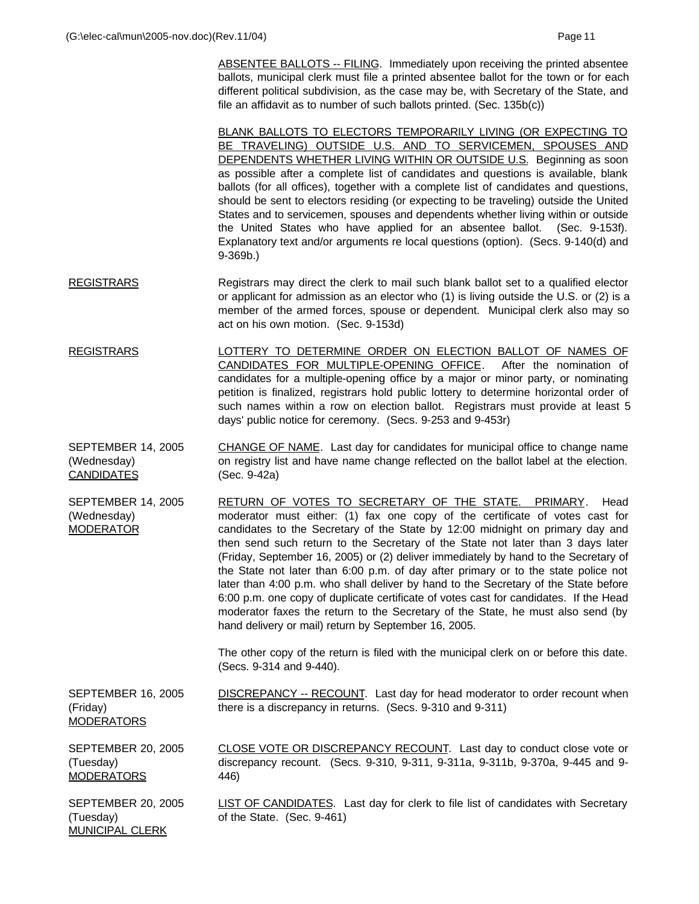ABSENTEE BALLOTS -- FILING. Immediately upon receiving the printed absentee ballots, municipal clerk must file a printed absentee ballot for the town or for each different political subdivision, as the case may be, with Secretary of the State, and file an affidavit as to number of such ballots printed. (Sec. 135b(c))

BLANK BALLOTS TO ELECTORS TEMPORARILY LIVING (OR EXPECTING TO BE TRAVELING) OUTSIDE U.S. AND TO SERVICEMEN, SPOUSES AND DEPENDENTS WHETHER LIVING WITHIN OR OUTSIDE U.S. Beginning as soon as possible after a complete list of candidates and questions is available, blank ballots (for all offices), together with a complete list of candidates and questions, should be sent to electors residing (or expecting to be traveling) outside the United States and to servicemen, spouses and dependents whether living within or outside the United States who have applied for an absentee ballot. (Sec. 9-153f). Explanatory text and/or arguments re local questions (option). (Secs. 9-140(d) and 9-369b.)

- REGISTRARS Registrars may direct the clerk to mail such blank ballot set to a qualified elector or applicant for admission as an elector who (1) is living outside the U.S. or (2) is a member of the armed forces, spouse or dependent. Municipal clerk also may so act on his own motion. (Sec. 9-153d)
- REGISTRARS LOTTERY TO DETERMINE ORDER ON ELECTION BALLOT OF NAMES OF CANDIDATES FOR MULTIPLE-OPENING OFFICE. After the nomination of candidates for a multiple-opening office by a major or minor party, or nominating petition is finalized, registrars hold public lottery to determine horizontal order of such names within a row on election ballot. Registrars must provide at least 5 days' public notice for ceremony. (Secs. 9-253 and 9-453r)
- SEPTEMBER 14, 2005 (Wednesday) CANDIDATES CHANGE OF NAME. Last day for candidates for municipal office to change name on registry list and have name change reflected on the ballot label at the election. (Sec. 9-42a)
- SEPTEMBER 14, 2005 (Wednesday) MODERATOR RETURN OF VOTES TO SECRETARY OF THE STATE. PRIMARY. Head moderator must either: (1) fax one copy of the certificate of votes cast for candidates to the Secretary of the State by 12:00 midnight on primary day and then send such return to the Secretary of the State not later than 3 days later (Friday, September 16, 2005) or (2) deliver immediately by hand to the Secretary of the State not later than 6:00 p.m. of day after primary or to the state police not later than 4:00 p.m. who shall deliver by hand to the Secretary of the State before 6:00 p.m. one copy of duplicate certificate of votes cast for candidates. If the Head moderator faxes the return to the Secretary of the State, he must also send (by hand delivery or mail) return by September 16, 2005.

The other copy of the return is filed with the municipal clerk on or before this date. (Secs. 9-314 and 9-440).

SEPTEMBER 16, 2005 (Friday) **MODERATORS** DISCREPANCY -- RECOUNT. Last day for head moderator to order recount when there is a discrepancy in returns. (Secs. 9-310 and 9-311)

SEPTEMBER 20, 2005 (Tuesday) **MODERATORS** CLOSE VOTE OR DISCREPANCY RECOUNT. Last day to conduct close vote or discrepancy recount. (Secs. 9-310, 9-311, 9-311a, 9-311b, 9-370a, 9-445 and 9- 446)

SEPTEMBER 20, 2005 (Tuesday) MUNICIPAL CLERK **LIST OF CANDIDATES.** Last day for clerk to file list of candidates with Secretary of the State. (Sec. 9-461)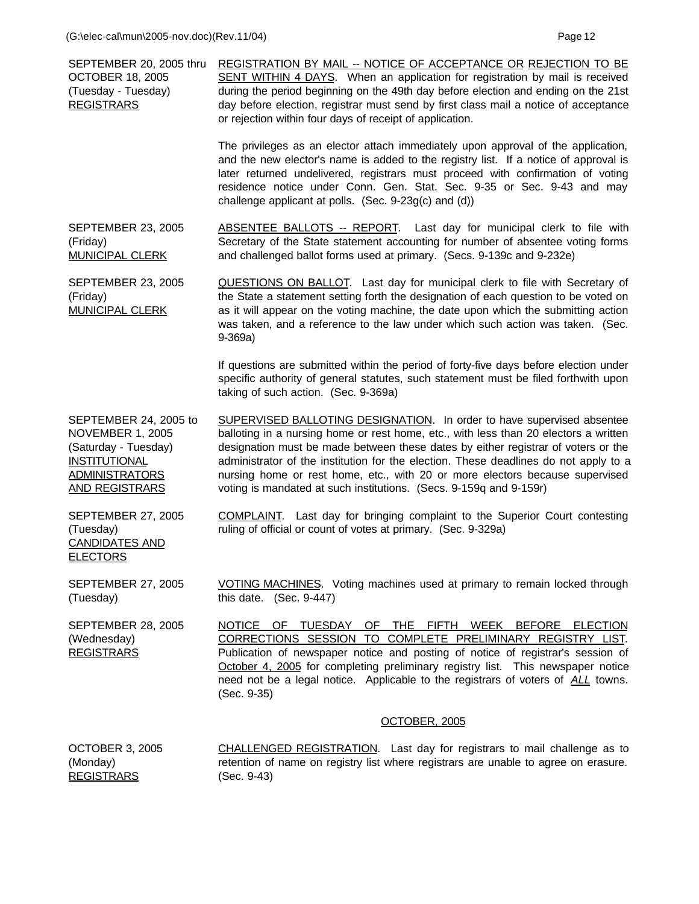| SEPTEMBER 20, 2005 thru<br><b>OCTOBER 18, 2005</b><br>(Tuesday - Tuesday)<br><b>REGISTRARS</b>                                                     | <b>REGISTRATION BY MAIL -- NOTICE OF ACCEPTANCE OR REJECTION TO BE</b><br>SENT WITHIN 4 DAYS. When an application for registration by mail is received<br>during the period beginning on the 49th day before election and ending on the 21st<br>day before election, registrar must send by first class mail a notice of acceptance<br>or rejection within four days of receipt of application.                                                                                                          |
|----------------------------------------------------------------------------------------------------------------------------------------------------|----------------------------------------------------------------------------------------------------------------------------------------------------------------------------------------------------------------------------------------------------------------------------------------------------------------------------------------------------------------------------------------------------------------------------------------------------------------------------------------------------------|
|                                                                                                                                                    | The privileges as an elector attach immediately upon approval of the application,<br>and the new elector's name is added to the registry list. If a notice of approval is<br>later returned undelivered, registrars must proceed with confirmation of voting<br>residence notice under Conn. Gen. Stat. Sec. 9-35 or Sec. 9-43 and may<br>challenge applicant at polls. (Sec. 9-23g(c) and (d))                                                                                                          |
| <b>SEPTEMBER 23, 2005</b><br>(Friday)<br><b>MUNICIPAL CLERK</b>                                                                                    | ABSENTEE BALLOTS -- REPORT. Last day for municipal clerk to file with<br>Secretary of the State statement accounting for number of absentee voting forms<br>and challenged ballot forms used at primary. (Secs. 9-139c and 9-232e)                                                                                                                                                                                                                                                                       |
| <b>SEPTEMBER 23, 2005</b><br>(Friday)<br><b>MUNICIPAL CLERK</b>                                                                                    | <b>QUESTIONS ON BALLOT.</b> Last day for municipal clerk to file with Secretary of<br>the State a statement setting forth the designation of each question to be voted on<br>as it will appear on the voting machine, the date upon which the submitting action<br>was taken, and a reference to the law under which such action was taken. (Sec.<br>$9-369a)$                                                                                                                                           |
|                                                                                                                                                    | If questions are submitted within the period of forty-five days before election under<br>specific authority of general statutes, such statement must be filed forthwith upon<br>taking of such action. (Sec. 9-369a)                                                                                                                                                                                                                                                                                     |
| SEPTEMBER 24, 2005 to<br><b>NOVEMBER 1, 2005</b><br>(Saturday - Tuesday)<br><b>INSTITUTIONAL</b><br><b>ADMINISTRATORS</b><br><b>AND REGISTRARS</b> | <b>SUPERVISED BALLOTING DESIGNATION.</b> In order to have supervised absentee<br>balloting in a nursing home or rest home, etc., with less than 20 electors a written<br>designation must be made between these dates by either registrar of voters or the<br>administrator of the institution for the election. These deadlines do not apply to a<br>nursing home or rest home, etc., with 20 or more electors because supervised<br>voting is mandated at such institutions. (Secs. 9-159q and 9-159r) |
| <b>SEPTEMBER 27, 2005</b><br>(Tuesday)<br><b>CANDIDATES AND</b><br><b>ELECTORS</b>                                                                 | COMPLAINT. Last day for bringing complaint to the Superior Court contesting<br>ruling of official or count of votes at primary. (Sec. 9-329a)                                                                                                                                                                                                                                                                                                                                                            |
| <b>SEPTEMBER 27, 2005</b><br>(Tuesday)                                                                                                             | VOTING MACHINES. Voting machines used at primary to remain locked through<br>this date. (Sec. 9-447)                                                                                                                                                                                                                                                                                                                                                                                                     |
| <b>SEPTEMBER 28, 2005</b><br>(Wednesday)<br><b>REGISTRARS</b>                                                                                      | NOTICE OF TUESDAY OF THE FIFTH WEEK BEFORE ELECTION<br>CORRECTIONS SESSION TO COMPLETE PRELIMINARY REGISTRY LIST.<br>Publication of newspaper notice and posting of notice of registrar's session of<br>October 4, 2005 for completing preliminary registry list. This newspaper notice<br>need not be a legal notice. Applicable to the registrars of voters of ALL towns.<br>(Sec. 9-35)                                                                                                               |
|                                                                                                                                                    | OCTOBER, 2005                                                                                                                                                                                                                                                                                                                                                                                                                                                                                            |
| <b>OCTOBER 3, 2005</b><br>(Monday)<br><b>REGISTRARS</b>                                                                                            | <b>CHALLENGED REGISTRATION.</b> Last day for registrars to mail challenge as to<br>retention of name on registry list where registrars are unable to agree on erasure.<br>(Sec. 9-43)                                                                                                                                                                                                                                                                                                                    |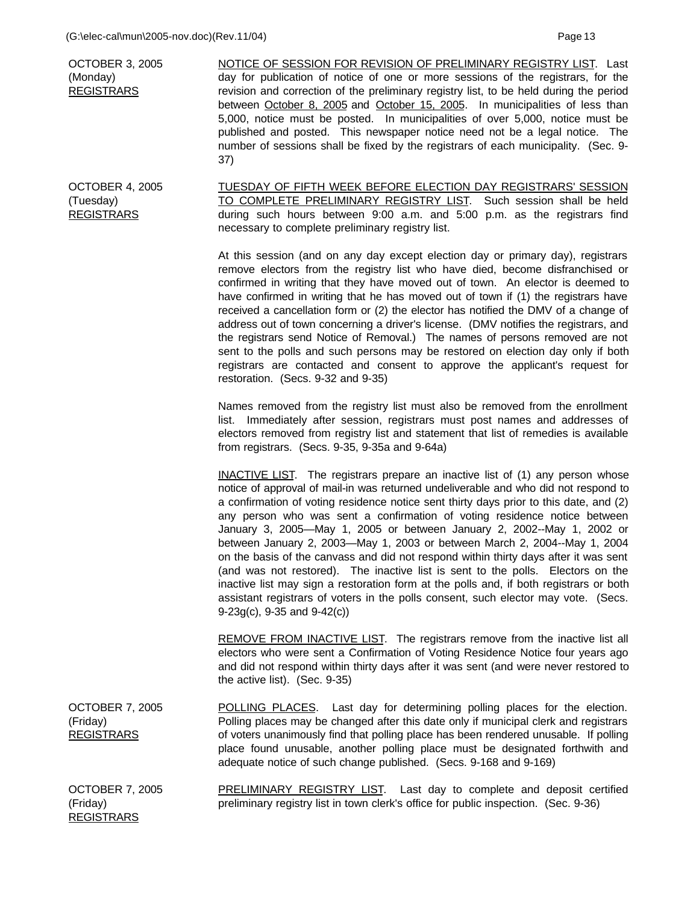| OCTOBER 3, 2005<br>(Monday)<br><b>REGISTRARS</b>  | NOTICE OF SESSION FOR REVISION OF PRELIMINARY REGISTRY LIST. Last<br>day for publication of notice of one or more sessions of the registrars, for the<br>revision and correction of the preliminary registry list, to be held during the period<br>between October 8, 2005 and October 15, 2005. In municipalities of less than<br>5,000, notice must be posted. In municipalities of over 5,000, notice must be<br>published and posted. This newspaper notice need not be a legal notice. The                                                                                                                                                                                            |
|---------------------------------------------------|--------------------------------------------------------------------------------------------------------------------------------------------------------------------------------------------------------------------------------------------------------------------------------------------------------------------------------------------------------------------------------------------------------------------------------------------------------------------------------------------------------------------------------------------------------------------------------------------------------------------------------------------------------------------------------------------|
|                                                   | number of sessions shall be fixed by the registrars of each municipality. (Sec. 9-<br>37)                                                                                                                                                                                                                                                                                                                                                                                                                                                                                                                                                                                                  |
| OCTOBER 4, 2005<br>(Tuesday)<br><b>REGISTRARS</b> | TUESDAY OF FIFTH WEEK BEFORE ELECTION DAY REGISTRARS' SESSION<br>TO COMPLETE PRELIMINARY REGISTRY LIST. Such session shall be held<br>during such hours between 9:00 a.m. and 5:00 p.m. as the registrars find<br>necessary to complete preliminary registry list.                                                                                                                                                                                                                                                                                                                                                                                                                         |
|                                                   | At this session (and on any day except election day or primary day), registrars<br>remove electors from the registry list who have died, become disfranchised or<br>confirmed in writing that they have moved out of town. An elector is deemed to<br>have confirmed in writing that he has moved out of town if (1) the registrars have<br>received a cancellation form or (2) the elector has notified the DMV of a change of<br>address out of town concerning a driver's license. (DMV notifies the registrars, and<br>the registrars send Notice of Removal.) The names of persons removed are not<br>sent to the polls and such persons may be restored on election day only if both |

restoration. (Secs. 9-32 and 9-35)

Names removed from the registry list must also be removed from the enrollment list. Immediately after session, registrars must post names and addresses of electors removed from registry list and statement that list of remedies is available from registrars. (Secs. 9-35, 9-35a and 9-64a)

registrars are contacted and consent to approve the applicant's request for

**INACTIVE LIST**. The registrars prepare an inactive list of (1) any person whose notice of approval of mail-in was returned undeliverable and who did not respond to a confirmation of voting residence notice sent thirty days prior to this date, and (2) any person who was sent a confirmation of voting residence notice between January 3, 2005—May 1, 2005 or between January 2, 2002--May 1, 2002 or between January 2, 2003—May 1, 2003 or between March 2, 2004--May 1, 2004 on the basis of the canvass and did not respond within thirty days after it was sent (and was not restored). The inactive list is sent to the polls. Electors on the inactive list may sign a restoration form at the polls and, if both registrars or both assistant registrars of voters in the polls consent, such elector may vote. (Secs. 9-23g(c), 9-35 and 9-42(c))

REMOVE FROM INACTIVE LIST. The registrars remove from the inactive list all electors who were sent a Confirmation of Voting Residence Notice four years ago and did not respond within thirty days after it was sent (and were never restored to the active list). (Sec. 9-35)

OCTOBER 7, 2005 (Friday) **REGISTRARS** POLLING PLACES. Last day for determining polling places for the election. Polling places may be changed after this date only if municipal clerk and registrars of voters unanimously find that polling place has been rendered unusable. If polling place found unusable, another polling place must be designated forthwith and adequate notice of such change published. (Secs. 9-168 and 9-169)

OCTOBER 7, 2005 (Friday) REGISTRARS PRELIMINARY REGISTRY LIST. Last day to complete and deposit certified preliminary registry list in town clerk's office for public inspection. (Sec. 9-36)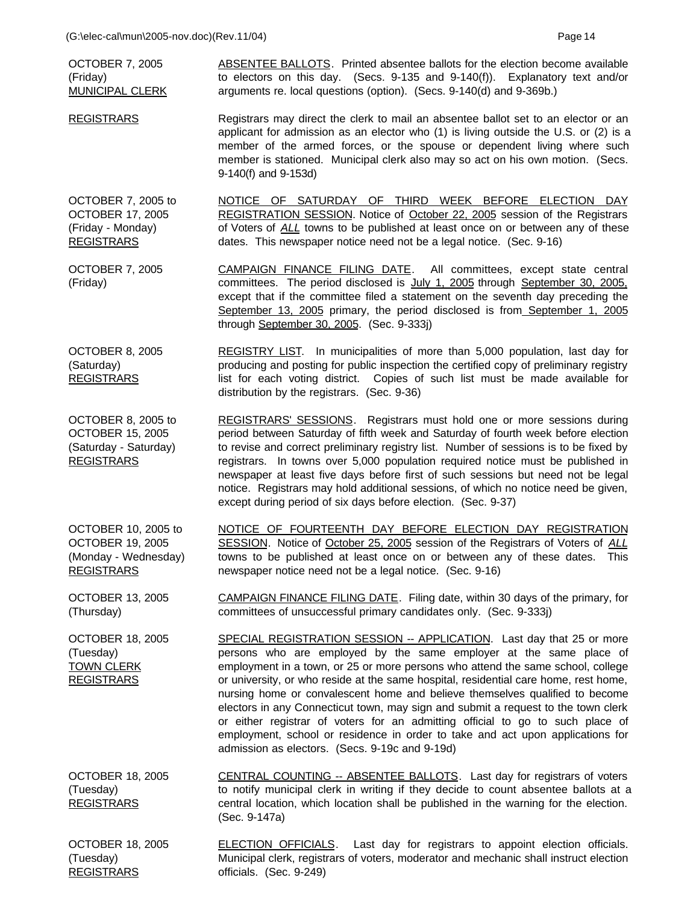**REGISTRARS** 

| <b>OCTOBER 7, 2005</b><br>(Friday)<br><b>MUNICIPAL CLERK</b>                                | <b>ABSENTEE BALLOTS.</b> Printed absentee ballots for the election become available<br>to electors on this day. (Secs. 9-135 and 9-140(f)). Explanatory text and/or<br>arguments re. local questions (option). (Secs. 9-140(d) and 9-369b.)                                                                                                                                                                                                                                                                                                                                                                                                                                                                       |
|---------------------------------------------------------------------------------------------|-------------------------------------------------------------------------------------------------------------------------------------------------------------------------------------------------------------------------------------------------------------------------------------------------------------------------------------------------------------------------------------------------------------------------------------------------------------------------------------------------------------------------------------------------------------------------------------------------------------------------------------------------------------------------------------------------------------------|
| <b>REGISTRARS</b>                                                                           | Registrars may direct the clerk to mail an absentee ballot set to an elector or an<br>applicant for admission as an elector who (1) is living outside the U.S. or (2) is a<br>member of the armed forces, or the spouse or dependent living where such<br>member is stationed. Municipal clerk also may so act on his own motion. (Secs.<br>9-140(f) and 9-153d)                                                                                                                                                                                                                                                                                                                                                  |
| OCTOBER 7, 2005 to<br><b>OCTOBER 17, 2005</b><br>(Friday - Monday)<br><b>REGISTRARS</b>     | NOTICE OF SATURDAY OF THIRD WEEK BEFORE ELECTION DAY<br>REGISTRATION SESSION. Notice of October 22, 2005 session of the Registrars<br>of Voters of ALL towns to be published at least once on or between any of these<br>dates. This newspaper notice need not be a legal notice. (Sec. 9-16)                                                                                                                                                                                                                                                                                                                                                                                                                     |
| <b>OCTOBER 7, 2005</b><br>(Friday)                                                          | CAMPAIGN FINANCE FILING DATE. All committees, except state central<br>committees. The period disclosed is July 1, 2005 through September 30, 2005.<br>except that if the committee filed a statement on the seventh day preceding the<br>September 13, 2005 primary, the period disclosed is from September 1, 2005<br>through September 30, 2005. (Sec. 9-333j)                                                                                                                                                                                                                                                                                                                                                  |
| OCTOBER 8, 2005<br>(Saturday)<br><b>REGISTRARS</b>                                          | REGISTRY LIST. In municipalities of more than 5,000 population, last day for<br>producing and posting for public inspection the certified copy of preliminary registry<br>list for each voting district. Copies of such list must be made available for<br>distribution by the registrars. (Sec. 9-36)                                                                                                                                                                                                                                                                                                                                                                                                            |
| OCTOBER 8, 2005 to<br><b>OCTOBER 15, 2005</b><br>(Saturday - Saturday)<br><b>REGISTRARS</b> | REGISTRARS' SESSIONS. Registrars must hold one or more sessions during<br>period between Saturday of fifth week and Saturday of fourth week before election<br>to revise and correct preliminary registry list. Number of sessions is to be fixed by<br>registrars. In towns over 5,000 population required notice must be published in<br>newspaper at least five days before first of such sessions but need not be legal<br>notice. Registrars may hold additional sessions, of which no notice need be given,<br>except during period of six days before election. (Sec. 9-37)                                                                                                                                |
| OCTOBER 10, 2005 to<br><b>OCTOBER 19, 2005</b><br>(Monday - Wednesday)<br><b>REGISTRARS</b> | NOTICE OF FOURTEENTH DAY BEFORE ELECTION DAY REGISTRATION<br>SESSION. Notice of October 25, 2005 session of the Registrars of Voters of ALL<br>towns to be published at least once on or between any of these dates. This<br>newspaper notice need not be a legal notice. (Sec. 9-16)                                                                                                                                                                                                                                                                                                                                                                                                                             |
| <b>OCTOBER 13, 2005</b><br>(Thursday)                                                       | CAMPAIGN FINANCE FILING DATE. Filing date, within 30 days of the primary, for<br>committees of unsuccessful primary candidates only. (Sec. 9-333j)                                                                                                                                                                                                                                                                                                                                                                                                                                                                                                                                                                |
| <b>OCTOBER 18, 2005</b><br>(Tuesday)<br><b>TOWN CLERK</b><br><b>REGISTRARS</b>              | SPECIAL REGISTRATION SESSION -- APPLICATION. Last day that 25 or more<br>persons who are employed by the same employer at the same place of<br>employment in a town, or 25 or more persons who attend the same school, college<br>or university, or who reside at the same hospital, residential care home, rest home,<br>nursing home or convalescent home and believe themselves qualified to become<br>electors in any Connecticut town, may sign and submit a request to the town clerk<br>or either registrar of voters for an admitting official to go to such place of<br>employment, school or residence in order to take and act upon applications for<br>admission as electors. (Secs. 9-19c and 9-19d) |
| <b>OCTOBER 18, 2005</b><br>(Tuesday)<br><b>REGISTRARS</b>                                   | CENTRAL COUNTING -- ABSENTEE BALLOTS. Last day for registrars of voters<br>to notify municipal clerk in writing if they decide to count absentee ballots at a<br>central location, which location shall be published in the warning for the election.<br>(Sec. 9-147a)                                                                                                                                                                                                                                                                                                                                                                                                                                            |
| <b>OCTOBER 18, 2005</b><br>(Tuesday)                                                        | <b>ELECTION OFFICIALS</b> . Last day for registrars to appoint election officials.<br>Municipal clerk, registrars of voters, moderator and mechanic shall instruct election                                                                                                                                                                                                                                                                                                                                                                                                                                                                                                                                       |

officials. (Sec. 9-249)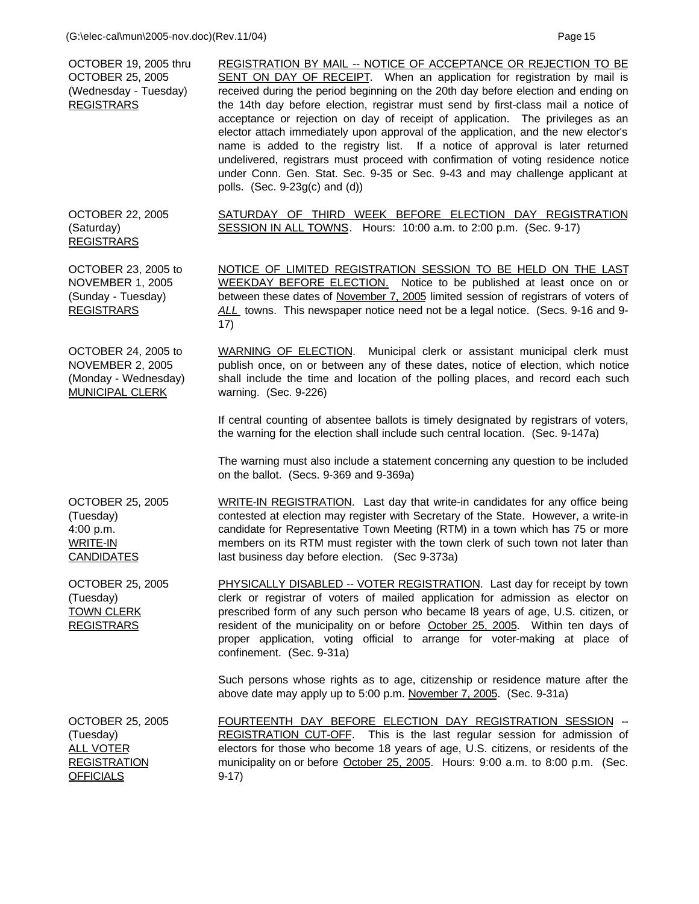| OCTOBER 19, 2005 thru<br><b>OCTOBER 25, 2005</b><br>(Wednesday - Tuesday)<br><b>REGISTRARS</b>      | REGISTRATION BY MAIL -- NOTICE OF ACCEPTANCE OR REJECTION TO BE<br>SENT ON DAY OF RECEIPT. When an application for registration by mail is<br>received during the period beginning on the 20th day before election and ending on<br>the 14th day before election, registrar must send by first-class mail a notice of<br>acceptance or rejection on day of receipt of application. The privileges as an<br>elector attach immediately upon approval of the application, and the new elector's<br>name is added to the registry list. If a notice of approval is later returned<br>undelivered, registrars must proceed with confirmation of voting residence notice<br>under Conn. Gen. Stat. Sec. 9-35 or Sec. 9-43 and may challenge applicant at<br>polls. (Sec. $9-23g(c)$ and $(d)$ ) |
|-----------------------------------------------------------------------------------------------------|--------------------------------------------------------------------------------------------------------------------------------------------------------------------------------------------------------------------------------------------------------------------------------------------------------------------------------------------------------------------------------------------------------------------------------------------------------------------------------------------------------------------------------------------------------------------------------------------------------------------------------------------------------------------------------------------------------------------------------------------------------------------------------------------|
| <b>OCTOBER 22, 2005</b><br>(Saturday)<br><b>REGISTRARS</b>                                          | SATURDAY OF THIRD WEEK BEFORE ELECTION DAY REGISTRATION<br>SESSION IN ALL TOWNS. Hours: 10:00 a.m. to 2:00 p.m. (Sec. 9-17)                                                                                                                                                                                                                                                                                                                                                                                                                                                                                                                                                                                                                                                                |
| OCTOBER 23, 2005 to<br><b>NOVEMBER 1, 2005</b><br>(Sunday - Tuesday)<br><b>REGISTRARS</b>           | NOTICE OF LIMITED REGISTRATION SESSION TO BE HELD ON THE LAST<br>WEEKDAY BEFORE ELECTION. Notice to be published at least once on or<br>between these dates of November 7, 2005 limited session of registrars of voters of<br>ALL towns. This newspaper notice need not be a legal notice. (Secs. 9-16 and 9-<br>17)                                                                                                                                                                                                                                                                                                                                                                                                                                                                       |
| OCTOBER 24, 2005 to<br><b>NOVEMBER 2, 2005</b><br>(Monday - Wednesday)<br><b>MUNICIPAL CLERK</b>    | <b>WARNING OF ELECTION</b> . Municipal clerk or assistant municipal clerk must<br>publish once, on or between any of these dates, notice of election, which notice<br>shall include the time and location of the polling places, and record each such<br>warning. (Sec. 9-226)                                                                                                                                                                                                                                                                                                                                                                                                                                                                                                             |
|                                                                                                     | If central counting of absentee ballots is timely designated by registrars of voters,<br>the warning for the election shall include such central location. (Sec. 9-147a)                                                                                                                                                                                                                                                                                                                                                                                                                                                                                                                                                                                                                   |
|                                                                                                     | The warning must also include a statement concerning any question to be included<br>on the ballot. (Secs. 9-369 and 9-369a)                                                                                                                                                                                                                                                                                                                                                                                                                                                                                                                                                                                                                                                                |
| <b>OCTOBER 25, 2005</b><br>(Tuesday)<br>4:00 p.m.<br><b>WRITE-IN</b><br><b>CANDIDATES</b>           | WRITE-IN REGISTRATION. Last day that write-in candidates for any office being<br>contested at election may register with Secretary of the State. However, a write-in<br>candidate for Representative Town Meeting (RTM) in a town which has 75 or more<br>members on its RTM must register with the town clerk of such town not later than<br>last business day before election. (Sec 9-373a)                                                                                                                                                                                                                                                                                                                                                                                              |
| <b>OCTOBER 25, 2005</b><br>(Tuesday)<br><b>TOWN CLERK</b><br><b>REGISTRARS</b>                      | PHYSICALLY DISABLED -- VOTER REGISTRATION. Last day for receipt by town<br>clerk or registrar of voters of mailed application for admission as elector on<br>prescribed form of any such person who became I8 years of age, U.S. citizen, or<br>resident of the municipality on or before October 25, 2005. Within ten days of<br>proper application, voting official to arrange for voter-making at place of<br>confinement. (Sec. 9-31a)                                                                                                                                                                                                                                                                                                                                                 |
|                                                                                                     | Such persons whose rights as to age, citizenship or residence mature after the<br>above date may apply up to 5:00 p.m. November 7, 2005. (Sec. 9-31a)                                                                                                                                                                                                                                                                                                                                                                                                                                                                                                                                                                                                                                      |
| <b>OCTOBER 25, 2005</b><br>(Tuesday)<br><b>ALL VOTER</b><br><b>REGISTRATION</b><br><b>OFFICIALS</b> | FOURTEENTH DAY BEFORE ELECTION DAY REGISTRATION SESSION --<br>REGISTRATION CUT-OFF. This is the last regular session for admission of<br>electors for those who become 18 years of age, U.S. citizens, or residents of the<br>municipality on or before October 25, 2005. Hours: 9:00 a.m. to 8:00 p.m. (Sec.<br>$9-17)$                                                                                                                                                                                                                                                                                                                                                                                                                                                                   |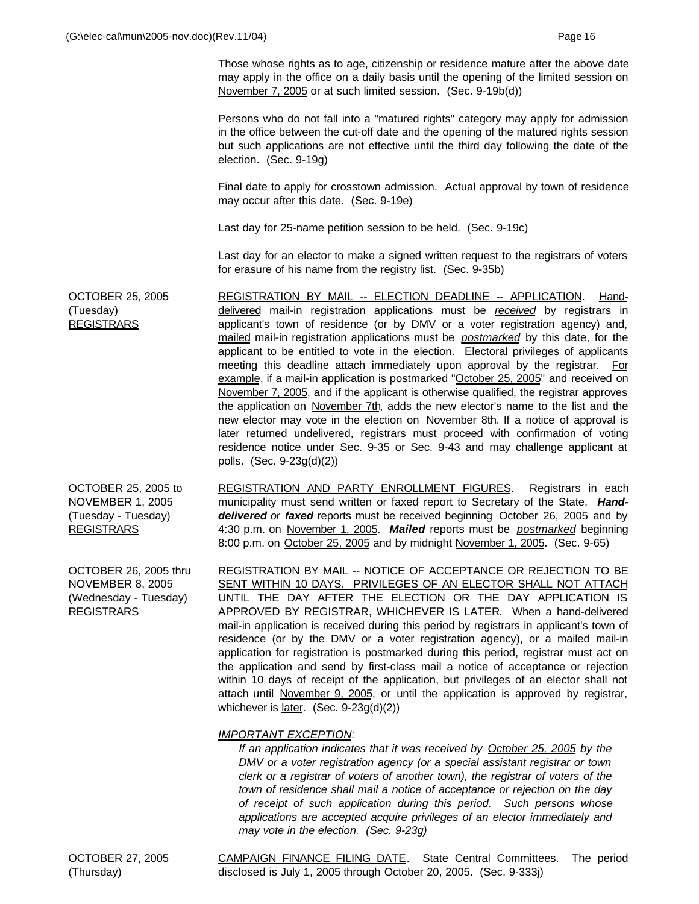Those whose rights as to age, citizenship or residence mature after the above date may apply in the office on a daily basis until the opening of the limited session on November 7, 2005 or at such limited session. (Sec. 9-19b(d))

Persons who do not fall into a "matured rights" category may apply for admission in the office between the cut-off date and the opening of the matured rights session but such applications are not effective until the third day following the date of the election. (Sec. 9-19g)

Final date to apply for crosstown admission. Actual approval by town of residence may occur after this date. (Sec. 9-19e)

Last day for 25-name petition session to be held. (Sec. 9-19c)

Last day for an elector to make a signed written request to the registrars of voters for erasure of his name from the registry list. (Sec. 9-35b)

OCTOBER 25, 2005 (Tuesday) REGISTRARS REGISTRATION BY MAIL -- ELECTION DEADLINE -- APPLICATION. Handdelivered mail-in registration applications must be *received* by registrars in applicant's town of residence (or by DMV or a voter registration agency) and, mailed mail-in registration applications must be *postmarked* by this date, for the applicant to be entitled to vote in the election. Electoral privileges of applicants meeting this deadline attach immediately upon approval by the registrar. For example, if a mail-in application is postmarked "October 25, 2005" and received on November 7, 2005, and if the applicant is otherwise qualified, the registrar approves the application on November 7th, adds the new elector's name to the list and the new elector may vote in the election on November 8th. If a notice of approval is later returned undelivered, registrars must proceed with confirmation of voting residence notice under Sec. 9-35 or Sec. 9-43 and may challenge applicant at polls. (Sec. 9-23g(d)(2))

OCTOBER 25, 2005 to NOVEMBER 1, 2005 (Tuesday - Tuesday) REGISTRARS REGISTRATION AND PARTY ENROLLMENT FIGURES. Registrars in each municipality must send written or faxed report to Secretary of the State. *Handdelivered or faxed* reports must be received beginning October 26, 2005 and by 4:30 p.m. on November 1, 2005. *Mailed* reports must be *postmarked* beginning 8:00 p.m. on October 25, 2005 and by midnight November 1, 2005. (Sec. 9-65)

OCTOBER 26, 2005 thru NOVEMBER 8, 2005 (Wednesday - Tuesday) REGISTRARS REGISTRATION BY MAIL -- NOTICE OF ACCEPTANCE OR REJECTION TO BE SENT WITHIN 10 DAYS. PRIVILEGES OF AN ELECTOR SHALL NOT ATTACH UNTIL THE DAY AFTER THE ELECTION OR THE DAY APPLICATION IS APPROVED BY REGISTRAR, WHICHEVER IS LATER. When a hand-delivered mail-in application is received during this period by registrars in applicant's town of residence (or by the DMV or a voter registration agency), or a mailed mail-in application for registration is postmarked during this period, registrar must act on the application and send by first-class mail a notice of acceptance or rejection within 10 days of receipt of the application, but privileges of an elector shall not attach until November 9, 2005, or until the application is approved by registrar, whichever is later. (Sec. 9-23g(d)(2))

## *IMPORTANT EXCEPTION:*

*If an application indicates that it was received by October 25, 2005 by the DMV or a voter registration agency (or a special assistant registrar or town clerk or a registrar of voters of another town), the registrar of voters of the town of residence shall mail a notice of acceptance or rejection on the day of receipt of such application during this period. Such persons whose applications are accepted acquire privileges of an elector immediately and may vote in the election. (Sec. 9-23g)*

CAMPAIGN FINANCE FILING DATE. State Central Committees. The period disclosed is July 1, 2005 through October 20, 2005. (Sec. 9-333j)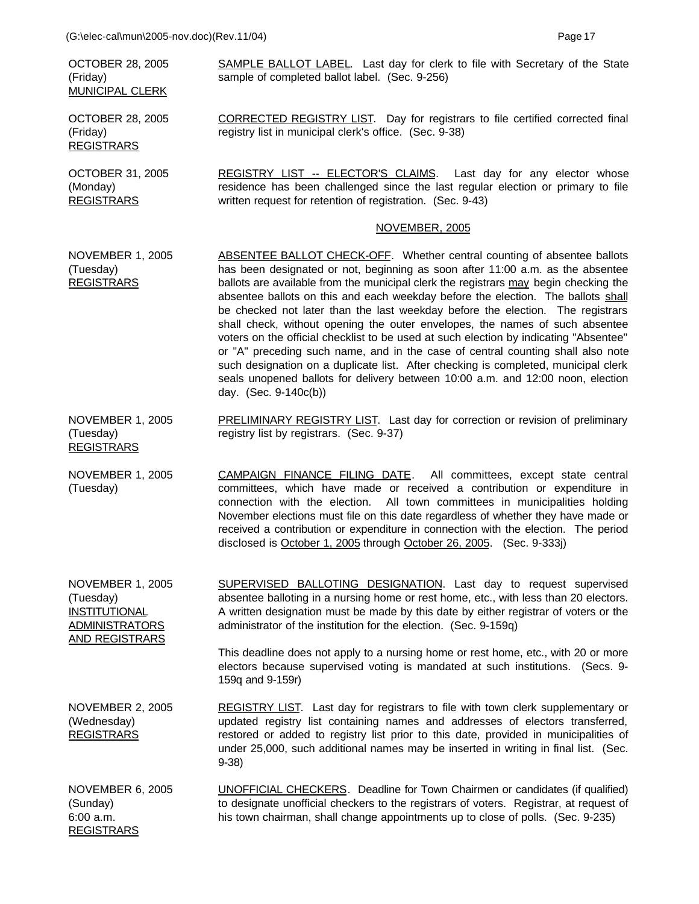OCTOBER 28, 2005 (Friday) MUNICIPAL CLERK

OCTOBER 28, 2005 (Friday) REGISTRARS

OCTOBER 31, 2005 (Monday) **REGISTRARS** 

AND REGISTRARS

SAMPLE BALLOT LABEL. Last day for clerk to file with Secretary of the State sample of completed ballot label. (Sec. 9-256)

CORRECTED REGISTRY LIST. Day for registrars to file certified corrected final registry list in municipal clerk's office. (Sec. 9-38)

REGISTRY LIST -- ELECTOR'S CLAIMS. Last day for any elector whose residence has been challenged since the last regular election or primary to file written request for retention of registration. (Sec. 9-43)

### NOVEMBER, 2005

- NOVEMBER 1, 2005 (Tuesday) **REGISTRARS** ABSENTEE BALLOT CHECK-OFF. Whether central counting of absentee ballots has been designated or not, beginning as soon after 11:00 a.m. as the absentee ballots are available from the municipal clerk the registrars may begin checking the absentee ballots on this and each weekday before the election. The ballots shall be checked not later than the last weekday before the election. The registrars shall check, without opening the outer envelopes, the names of such absentee voters on the official checklist to be used at such election by indicating "Absentee" or "A" preceding such name, and in the case of central counting shall also note such designation on a duplicate list. After checking is completed, municipal clerk seals unopened ballots for delivery between 10:00 a.m. and 12:00 noon, election day. (Sec. 9-140c(b))
- NOVEMBER 1, 2005 (Tuesday) REGISTRARS PRELIMINARY REGISTRY LIST. Last day for correction or revision of preliminary registry list by registrars. (Sec. 9-37)
- NOVEMBER 1, 2005 (Tuesday) CAMPAIGN FINANCE FILING DATE. All committees, except state central committees, which have made or received a contribution or expenditure in connection with the election. All town committees in municipalities holding November elections must file on this date regardless of whether they have made or received a contribution or expenditure in connection with the election. The period disclosed is October 1, 2005 through October 26, 2005. (Sec. 9-333j)
- NOVEMBER 1, 2005 (Tuesday) INSTITUTIONAL ADMINISTRATORS SUPERVISED BALLOTING DESIGNATION. Last day to request supervised absentee balloting in a nursing home or rest home, etc., with less than 20 electors. A written designation must be made by this date by either registrar of voters or the administrator of the institution for the election. (Sec. 9-159q)

This deadline does not apply to a nursing home or rest home, etc., with 20 or more electors because supervised voting is mandated at such institutions. (Secs. 9- 159q and 9-159r)

NOVEMBER 2, 2005 (Wednesday) REGISTRARS REGISTRY LIST. Last day for registrars to file with town clerk supplementary or updated registry list containing names and addresses of electors transferred, restored or added to registry list prior to this date, provided in municipalities of under 25,000, such additional names may be inserted in writing in final list. (Sec. 9-38)

NOVEMBER 6, 2005 (Sunday) 6:00 a.m. REGISTRARS UNOFFICIAL CHECKERS. Deadline for Town Chairmen or candidates (if qualified) to designate unofficial checkers to the registrars of voters. Registrar, at request of his town chairman, shall change appointments up to close of polls. (Sec. 9-235)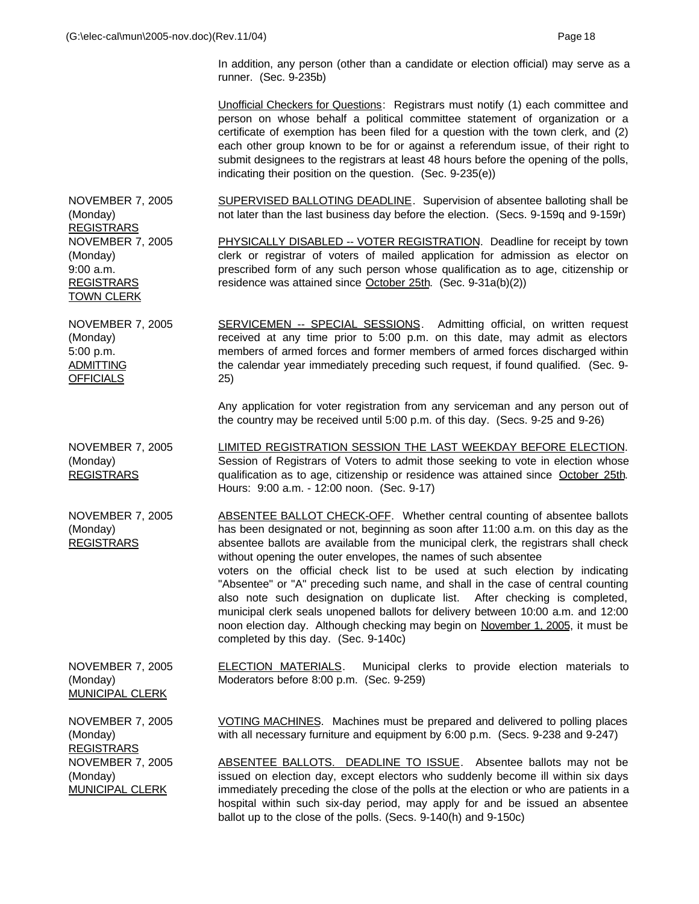In addition, any person (other than a candidate or election official) may serve as a runner. (Sec. 9-235b)

Unofficial Checkers for Questions: Registrars must notify (1) each committee and person on whose behalf a political committee statement of organization or a certificate of exemption has been filed for a question with the town clerk, and (2) each other group known to be for or against a referendum issue, of their right to submit designees to the registrars at least 48 hours before the opening of the polls, indicating their position on the question. (Sec. 9-235(e))

NOVEMBER 7, 2005 (Monday) REGISTRARS SUPERVISED BALLOTING DEADLINE. Supervision of absentee balloting shall be not later than the last business day before the election. (Secs. 9-159q and 9-159r) NOVEMBER 7, 2005 (Monday) 9:00 a.m. REGISTRARS TOWN CLERK PHYSICALLY DISABLED -- VOTER REGISTRATION. Deadline for receipt by town clerk or registrar of voters of mailed application for admission as elector on prescribed form of any such person whose qualification as to age, citizenship or residence was attained since October 25th. (Sec. 9-31a(b)(2))

NOVEMBER 7, 2005 (Monday) 5:00 p.m. **ADMITTING OFFICIALS** SERVICEMEN -- SPECIAL SESSIONS. Admitting official, on written request received at any time prior to 5:00 p.m. on this date, may admit as electors members of armed forces and former members of armed forces discharged within the calendar year immediately preceding such request, if found qualified. (Sec. 9- 25)

> Any application for voter registration from any serviceman and any person out of the country may be received until 5:00 p.m. of this day. (Secs. 9-25 and 9-26)

NOVEMBER 7, 2005 (Monday) REGISTRARS LIMITED REGISTRATION SESSION THE LAST WEEKDAY BEFORE ELECTION. Session of Registrars of Voters to admit those seeking to vote in election whose qualification as to age, citizenship or residence was attained since October 25th. Hours: 9:00 a.m. - 12:00 noon. (Sec. 9-17)

NOVEMBER 7, 2005 (Monday) REGISTRARS ABSENTEE BALLOT CHECK-OFF. Whether central counting of absentee ballots has been designated or not, beginning as soon after 11:00 a.m. on this day as the absentee ballots are available from the municipal clerk, the registrars shall check without opening the outer envelopes, the names of such absentee voters on the official check list to be used at such election by indicating "Absentee" or "A" preceding such name, and shall in the case of central counting also note such designation on duplicate list. After checking is completed, municipal clerk seals unopened ballots for delivery between 10:00 a.m. and 12:00 noon election day. Although checking may begin on November 1, 2005, it must be completed by this day. (Sec. 9-140c)

NOVEMBER 7, 2005 (Monday) ELECTION MATERIALS. Municipal clerks to provide election materials to Moderators before 8:00 p.m. (Sec. 9-259)

MUNICIPAL CLERK

NOVEMBER 7, 2005 (Monday) REGISTRARS NOVEMBER 7, 2005 (Monday) MUNICIPAL CLERK

VOTING MACHINES. Machines must be prepared and delivered to polling places with all necessary furniture and equipment by 6:00 p.m. (Secs. 9-238 and 9-247)

ABSENTEE BALLOTS. DEADLINE TO ISSUE. Absentee ballots may not be issued on election day, except electors who suddenly become ill within six days immediately preceding the close of the polls at the election or who are patients in a hospital within such six-day period, may apply for and be issued an absentee ballot up to the close of the polls. (Secs. 9-140(h) and 9-150c)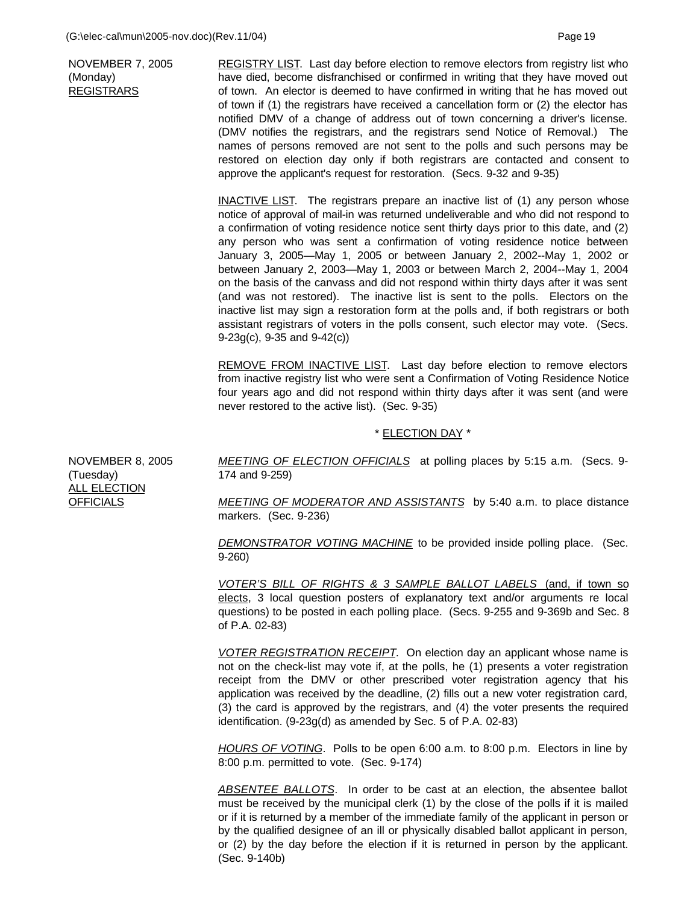NOVEMBER 7, 2005 (Monday) REGISTRARS

REGISTRY LIST. Last day before election to remove electors from registry list who have died, become disfranchised or confirmed in writing that they have moved out of town. An elector is deemed to have confirmed in writing that he has moved out of town if (1) the registrars have received a cancellation form or (2) the elector has notified DMV of a change of address out of town concerning a driver's license. (DMV notifies the registrars, and the registrars send Notice of Removal.) The names of persons removed are not sent to the polls and such persons may be restored on election day only if both registrars are contacted and consent to approve the applicant's request for restoration. (Secs. 9-32 and 9-35)

**INACTIVE LIST.** The registrars prepare an inactive list of (1) any person whose notice of approval of mail-in was returned undeliverable and who did not respond to a confirmation of voting residence notice sent thirty days prior to this date, and (2) any person who was sent a confirmation of voting residence notice between January 3, 2005—May 1, 2005 or between January 2, 2002--May 1, 2002 or between January 2, 2003—May 1, 2003 or between March 2, 2004--May 1, 2004 on the basis of the canvass and did not respond within thirty days after it was sent (and was not restored). The inactive list is sent to the polls. Electors on the inactive list may sign a restoration form at the polls and, if both registrars or both assistant registrars of voters in the polls consent, such elector may vote. (Secs. 9-23g(c), 9-35 and 9-42(c))

REMOVE FROM INACTIVE LIST. Last day before election to remove electors from inactive registry list who were sent a Confirmation of Voting Residence Notice four years ago and did not respond within thirty days after it was sent (and were never restored to the active list). (Sec. 9-35)

## \* ELECTION DAY \*

NOVEMBER 8, 2005 (Tuesday) ALL ELECTION **OFFICIALS** 

*MEETING OF ELECTION OFFICIALS* at polling places by 5:15 a.m. (Secs. 9- 174 and 9-259)

*MEETING OF MODERATOR AND ASSISTANTS* by 5:40 a.m. to place distance markers. (Sec. 9-236)

*DEMONSTRATOR VOTING MACHINE* to be provided inside polling place. (Sec. 9-260)

*VOTER'S BILL OF RIGHTS & 3 SAMPLE BALLOT LABELS* (and, if town so elects, 3 local question posters of explanatory text and/or arguments re local questions) to be posted in each polling place. (Secs. 9-255 and 9-369b and Sec. 8 of P.A. 02-83)

*VOTER REGISTRATION RECEIPT.* On election day an applicant whose name is not on the check-list may vote if, at the polls, he (1) presents a voter registration receipt from the DMV or other prescribed voter registration agency that his application was received by the deadline, (2) fills out a new voter registration card, (3) the card is approved by the registrars, and (4) the voter presents the required identification. (9-23g(d) as amended by Sec. 5 of P.A. 02-83)

*HOURS OF VOTING*. Polls to be open 6:00 a.m. to 8:00 p.m. Electors in line by 8:00 p.m. permitted to vote. (Sec. 9-174)

*ABSENTEE BALLOTS*. In order to be cast at an election, the absentee ballot must be received by the municipal clerk (1) by the close of the polls if it is mailed or if it is returned by a member of the immediate family of the applicant in person or by the qualified designee of an ill or physically disabled ballot applicant in person, or (2) by the day before the election if it is returned in person by the applicant. (Sec. 9-140b)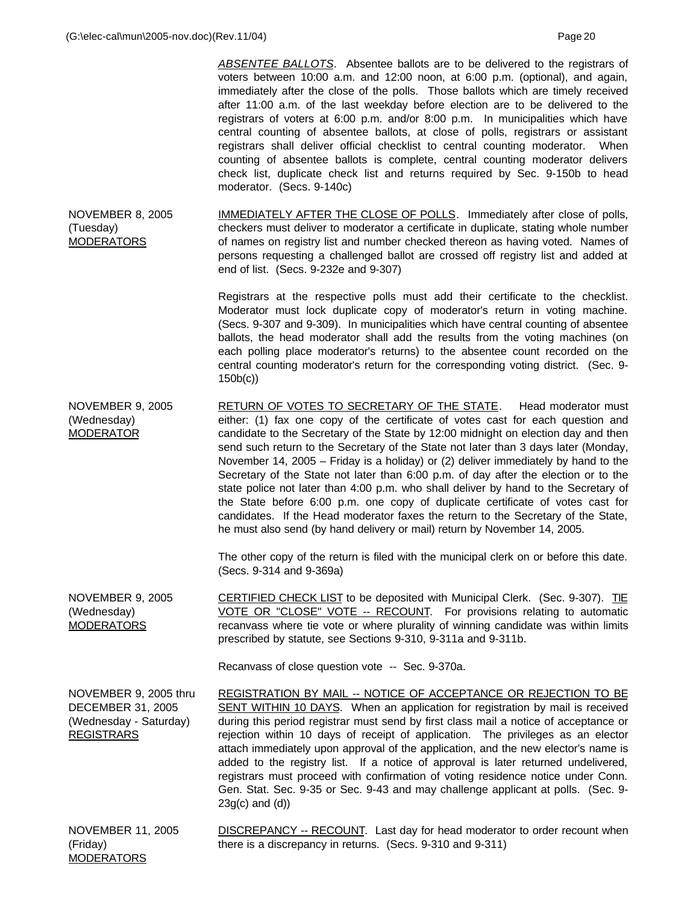*ABSENTEE BALLOTS*. Absentee ballots are to be delivered to the registrars of voters between 10:00 a.m. and 12:00 noon, at 6:00 p.m. (optional), and again, immediately after the close of the polls. Those ballots which are timely received after 11:00 a.m. of the last weekday before election are to be delivered to the registrars of voters at 6:00 p.m. and/or 8:00 p.m. In municipalities which have central counting of absentee ballots, at close of polls, registrars or assistant registrars shall deliver official checklist to central counting moderator. When counting of absentee ballots is complete, central counting moderator delivers check list, duplicate check list and returns required by Sec. 9-150b to head moderator. (Secs. 9-140c) NOVEMBER 8, 2005 (Tuesday) MODERATORS IMMEDIATELY AFTER THE CLOSE OF POLLS. Immediately after close of polls, checkers must deliver to moderator a certificate in duplicate, stating whole number of names on registry list and number checked thereon as having voted. Names of persons requesting a challenged ballot are crossed off registry list and added at end of list. (Secs. 9-232e and 9-307) Registrars at the respective polls must add their certificate to the checklist. Moderator must lock duplicate copy of moderator's return in voting machine. (Secs. 9-307 and 9-309). In municipalities which have central counting of absentee ballots, the head moderator shall add the results from the voting machines (on each polling place moderator's returns) to the absentee count recorded on the central counting moderator's return for the corresponding voting district. (Sec. 9- 150b(c)) NOVEMBER 9, 2005 (Wednesday) MODERATOR RETURN OF VOTES TO SECRETARY OF THE STATE. Head moderator must either: (1) fax one copy of the certificate of votes cast for each question and candidate to the Secretary of the State by 12:00 midnight on election day and then send such return to the Secretary of the State not later than 3 days later (Monday, November 14, 2005 – Friday is a holiday) or (2) deliver immediately by hand to the Secretary of the State not later than 6:00 p.m. of day after the election or to the state police not later than 4:00 p.m. who shall deliver by hand to the Secretary of the State before 6:00 p.m. one copy of duplicate certificate of votes cast for candidates. If the Head moderator faxes the return to the Secretary of the State, he must also send (by hand delivery or mail) return by November 14, 2005. The other copy of the return is filed with the municipal clerk on or before this date. (Secs. 9-314 and 9-369a) NOVEMBER 9, 2005 (Wednesday) MODERATORS CERTIFIED CHECK LIST to be deposited with Municipal Clerk. (Sec. 9-307). TIE VOTE OR "CLOSE" VOTE -- RECOUNT. For provisions relating to automatic recanvass where tie vote or where plurality of winning candidate was within limits prescribed by statute, see Sections 9-310, 9-311a and 9-311b. Recanvass of close question vote -- Sec. 9-370a. NOVEMBER 9, 2005 thru DECEMBER 31, 2005 (Wednesday - Saturday) REGISTRARS REGISTRATION BY MAIL -- NOTICE OF ACCEPTANCE OR REJECTION TO BE SENT WITHIN 10 DAYS. When an application for registration by mail is received during this period registrar must send by first class mail a notice of acceptance or rejection within 10 days of receipt of application. The privileges as an elector attach immediately upon approval of the application, and the new elector's name is added to the registry list. If a notice of approval is later returned undelivered, registrars must proceed with confirmation of voting residence notice under Conn. Gen. Stat. Sec. 9-35 or Sec. 9-43 and may challenge applicant at polls. (Sec. 9- 23g(c) and (d)) NOVEMBER 11, 2005 DISCREPANCY -- RECOUNT. Last day for head moderator to order recount when

(Friday) MODERATORS there is a discrepancy in returns. (Secs. 9-310 and 9-311)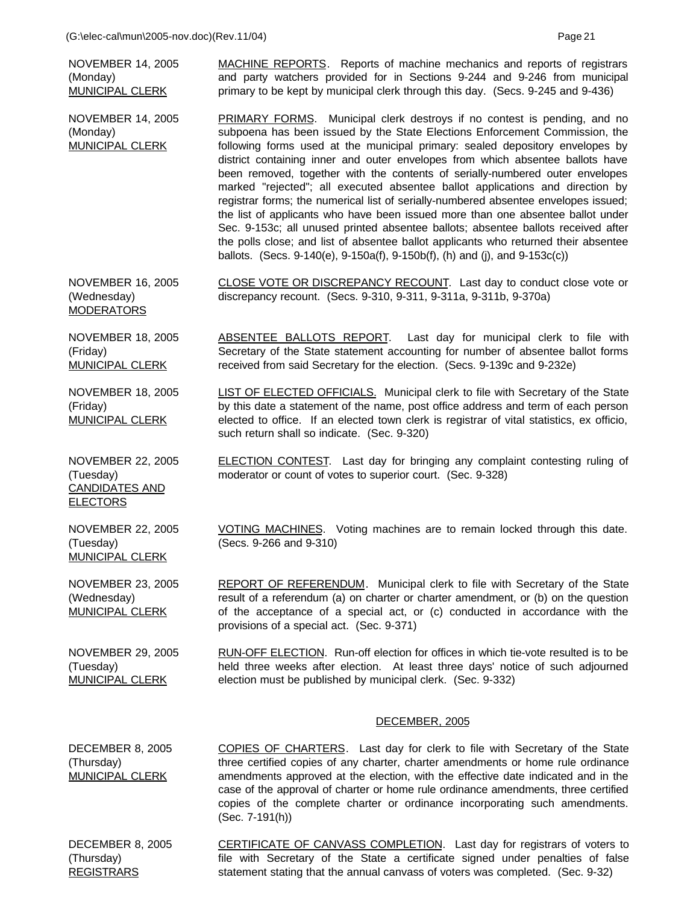(G:\elec-cal\mun\2005-nov.doc)(Rev.11/04) Page 21 NOVEMBER 14, 2005 (Monday) MUNICIPAL CLERK MACHINE REPORTS. Reports of machine mechanics and reports of registrars and party watchers provided for in Sections 9-244 and 9-246 from municipal primary to be kept by municipal clerk through this day. (Secs. 9-245 and 9-436) NOVEMBER 14, 2005 (Monday) MUNICIPAL CLERK PRIMARY FORMS. Municipal clerk destroys if no contest is pending, and no subpoena has been issued by the State Elections Enforcement Commission, the following forms used at the municipal primary: sealed depository envelopes by district containing inner and outer envelopes from which absentee ballots have been removed, together with the contents of serially-numbered outer envelopes marked "rejected"; all executed absentee ballot applications and direction by registrar forms; the numerical list of serially-numbered absentee envelopes issued; the list of applicants who have been issued more than one absentee ballot under Sec. 9-153c; all unused printed absentee ballots; absentee ballots received after the polls close; and list of absentee ballot applicants who returned their absentee ballots. (Secs. 9-140(e), 9-150a(f), 9-150b(f), (h) and (j), and 9-153c(c)) NOVEMBER 16, 2005 (Wednesday) **MODERATORS** CLOSE VOTE OR DISCREPANCY RECOUNT. Last day to conduct close vote or discrepancy recount. (Secs. 9-310, 9-311, 9-311a, 9-311b, 9-370a) NOVEMBER 18, 2005 (Friday) MUNICIPAL CLERK ABSENTEE BALLOTS REPORT. Last day for municipal clerk to file with Secretary of the State statement accounting for number of absentee ballot forms received from said Secretary for the election. (Secs. 9-139c and 9-232e) NOVEMBER 18, 2005 (Friday) MUNICIPAL CLERK LIST OF ELECTED OFFICIALS. Municipal clerk to file with Secretary of the State by this date a statement of the name, post office address and term of each person elected to office. If an elected town clerk is registrar of vital statistics, ex officio, such return shall so indicate. (Sec. 9-320) NOVEMBER 22, 2005 (Tuesday) CANDIDATES AND ELECTORS ELECTION CONTEST. Last day for bringing any complaint contesting ruling of moderator or count of votes to superior court. (Sec. 9-328) NOVEMBER 22, 2005 (Tuesday) MUNICIPAL CLERK VOTING MACHINES. Voting machines are to remain locked through this date. (Secs. 9-266 and 9-310) NOVEMBER 23, 2005 (Wednesday) MUNICIPAL CLERK REPORT OF REFERENDUM. Municipal clerk to file with Secretary of the State result of a referendum (a) on charter or charter amendment, or (b) on the question of the acceptance of a special act, or (c) conducted in accordance with the provisions of a special act. (Sec. 9-371) NOVEMBER 29, 2005 (Tuesday) MUNICIPAL CLERK RUN-OFF ELECTION. Run-off election for offices in which tie-vote resulted is to be held three weeks after election. At least three days' notice of such adjourned election must be published by municipal clerk. (Sec. 9-332) DECEMBER, 2005 DECEMBER 8, 2005 (Thursday) MUNICIPAL CLERK COPIES OF CHARTERS. Last day for clerk to file with Secretary of the State three certified copies of any charter, charter amendments or home rule ordinance amendments approved at the election, with the effective date indicated and in the

copies of the complete charter or ordinance incorporating such amendments. (Sec. 7-191(h)) DECEMBER 8, 2005 (Thursday) CERTIFICATE OF CANVASS COMPLETION. Last day for registrars of voters to file with Secretary of the State a certificate signed under penalties of false

case of the approval of charter or home rule ordinance amendments, three certified

statement stating that the annual canvass of voters was completed. (Sec. 9-32)

REGISTRARS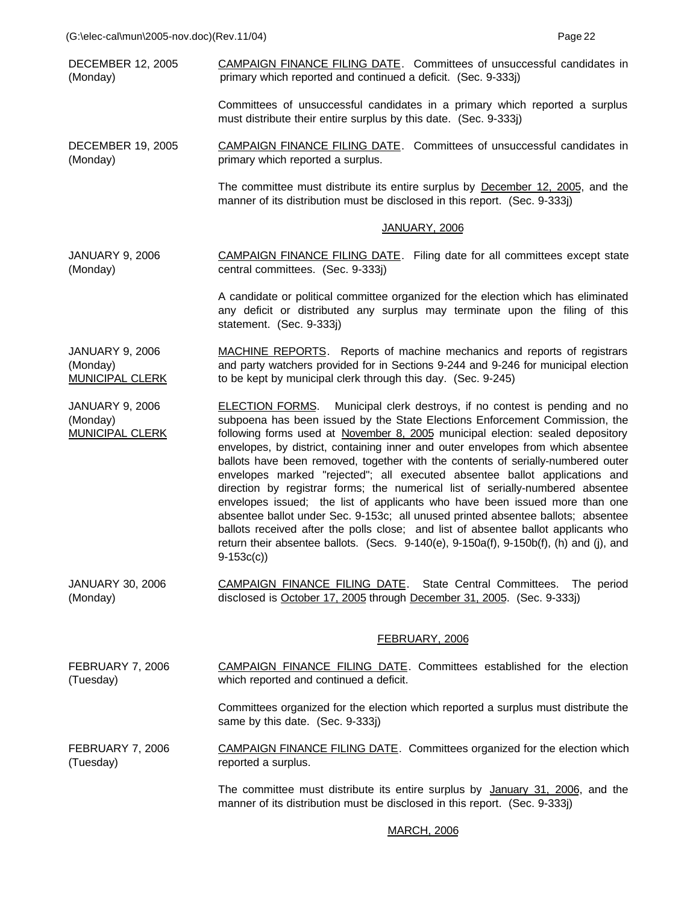DECEMBER 12, 2005 (Monday) CAMPAIGN FINANCE FILING DATE. Committees of unsuccessful candidates in primary which reported and continued a deficit. (Sec. 9-333j)

> Committees of unsuccessful candidates in a primary which reported a surplus must distribute their entire surplus by this date. (Sec. 9-333j)

DECEMBER 19, 2005 (Monday) CAMPAIGN FINANCE FILING DATE. Committees of unsuccessful candidates in primary which reported a surplus.

> The committee must distribute its entire surplus by **December 12, 2005**, and the manner of its distribution must be disclosed in this report. (Sec. 9-333j)

### JANUARY, 2006

JANUARY 9, 2006 (Monday) CAMPAIGN FINANCE FILING DATE. Filing date for all committees except state central committees. (Sec. 9-333j)

> A candidate or political committee organized for the election which has eliminated any deficit or distributed any surplus may terminate upon the filing of this statement. (Sec. 9-333j)

JANUARY 9, 2006 (Monday) MUNICIPAL CLERK MACHINE REPORTS. Reports of machine mechanics and reports of registrars and party watchers provided for in Sections 9-244 and 9-246 for municipal election to be kept by municipal clerk through this day. (Sec. 9-245)

JANUARY 9, 2006 (Monday) MUNICIPAL CLERK ELECTION FORMS. Municipal clerk destroys, if no contest is pending and no subpoena has been issued by the State Elections Enforcement Commission, the following forms used at November 8, 2005 municipal election: sealed depository envelopes, by district, containing inner and outer envelopes from which absentee ballots have been removed, together with the contents of serially-numbered outer envelopes marked "rejected"; all executed absentee ballot applications and direction by registrar forms; the numerical list of serially-numbered absentee envelopes issued; the list of applicants who have been issued more than one absentee ballot under Sec. 9-153c; all unused printed absentee ballots; absentee ballots received after the polls close; and list of absentee ballot applicants who return their absentee ballots. (Secs. 9-140(e), 9-150a(f), 9-150b(f), (h) and (j), and 9-153c(c))

JANUARY 30, 2006 (Monday) CAMPAIGN FINANCE FILING DATE. State Central Committees. The period disclosed is October 17, 2005 through December 31, 2005. (Sec. 9-333j)

### FEBRUARY, 2006

FEBRUARY 7, 2006 (Tuesday) CAMPAIGN FINANCE FILING DATE. Committees established for the election which reported and continued a deficit.

> Committees organized for the election which reported a surplus must distribute the same by this date. (Sec. 9-333j)

FEBRUARY 7, 2006 (Tuesday) CAMPAIGN FINANCE FILING DATE. Committees organized for the election which reported a surplus.

> The committee must distribute its entire surplus by January 31, 2006, and the manner of its distribution must be disclosed in this report. (Sec. 9-333j)

### MARCH, 2006